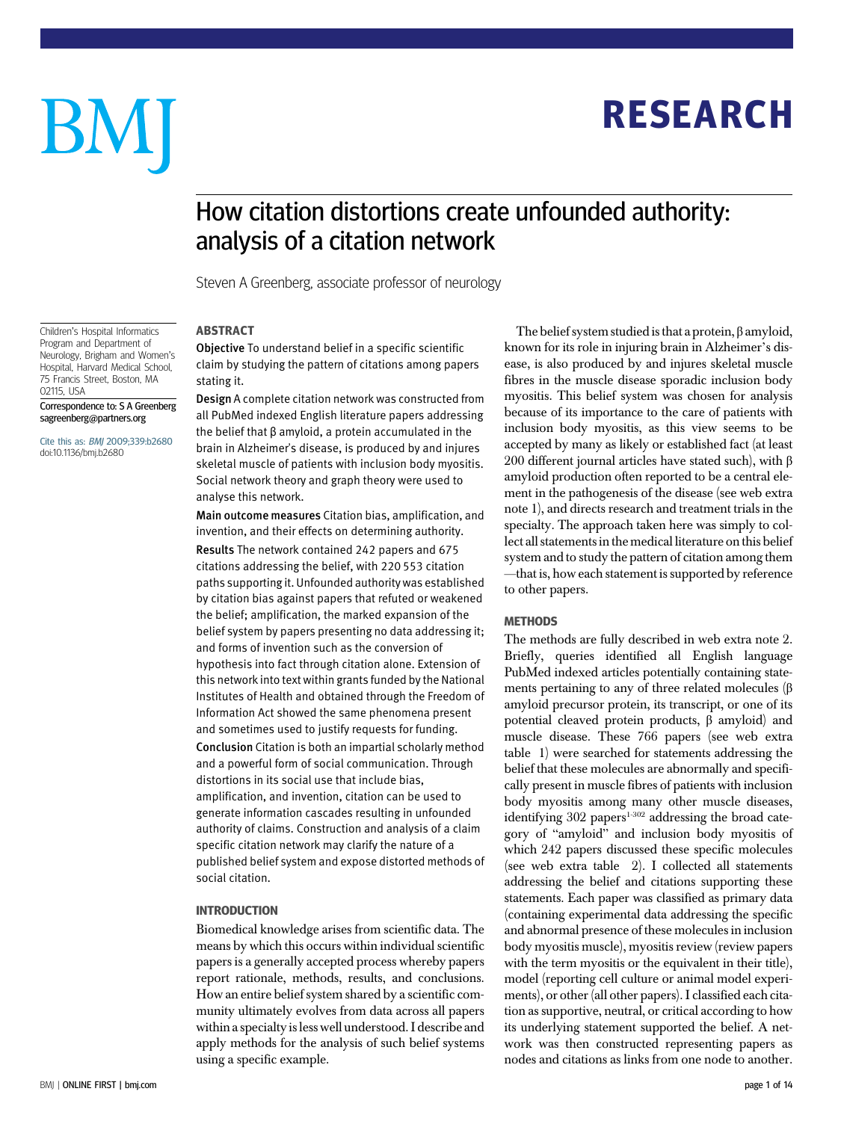# **RESEARCH** RESEARCH



## How citation distortions create unfounded authority: analysis of a citation network

Steven A Greenberg, associate professor of neurology

-----------<br>Objective To understand belief in a specific scientific claim by studying the pattern of citations among papers stating it.

Design A complete citation network was constructed from all PubMed indexed English literature papers addressing the belief that β amyloid, a protein accumulated in the brain in Alzheimer's disease, is produced by and injures skeletal muscle of patients with inclusion body myositis. Social network theory and graph theory were used to analyse this network.

Main outcome measures Citation bias, amplification, and invention, and their effects on determining authority.

Results The network contained 242 papers and 675 citations addressing the belief, with 220 553 citation paths supporting it. Unfounded authority was established by citation bias against papers that refuted or weakened the belief; amplification, the marked expansion of the belief system by papers presenting no data addressing it; and forms of invention such as the conversion of hypothesis into fact through citation alone. Extension of this network into text within grants funded by the National Institutes of Health and obtained through the Freedom of Information Act showed the same phenomena present and sometimes used to justify requests for funding. Conclusion Citation is both an impartial scholarly method and a powerful form of social communication. Through distortions in its social use that include bias, amplification, and invention, citation can be used to generate information cascades resulting in unfounded authority of claims. Construction and analysis of a claim specific citation network may clarify the nature of a published belief system and expose distorted methods of social citation.

#### **INTRODUCTION**

-------- - ------<br>Biomedical knowledge arises from scientific data. The means by which this occurs within individual scientific papers is a generally accepted process whereby papers report rationale, methods, results, and conclusions. How an entire belief system shared by a scientific community ultimately evolves from data across all papers within a specialty is less well understood. I describe and apply methods for the analysis of such belief systems using a specific example.

The belief system studied is that a protein, β amyloid, known for its role in injuring brain in Alzheimer's disease, is also produced by and injures skeletal muscle fibres in the muscle disease sporadic inclusion body myositis. This belief system was chosen for analysis because of its importance to the care of patients with inclusion body myositis, as this view seems to be accepted by many as likely or established fact (at least 200 different journal articles have stated such), with β amyloid production often reported to be a central element in the pathogenesis of the disease (see web extra note 1), and directs research and treatment trials in the specialty. The approach taken here was simply to collect all statements in the medical literature on this belief system and to study the pattern of citation among them —that is, how each statement is supported by reference to other papers.

The methods are fully described in web extra note 2. Briefly, queries identified all English language PubMed indexed articles potentially containing statements pertaining to any of three related molecules (β amyloid precursor protein, its transcript, or one of its potential cleaved protein products, β amyloid) and muscle disease. These 766 papers (see web extra table 1) were searched for statements addressing the belief that these molecules are abnormally and specifically present in muscle fibres of patients with inclusion body myositis among many other muscle diseases, identifying  $302$  papers<sup>1-302</sup> addressing the broad category of "amyloid" and inclusion body myositis of which 242 papers discussed these specific molecules (see web extra table 2). I collected all statements addressing the belief and citations supporting these statements. Each paper was classified as primary data (containing experimental data addressing the specific and abnormal presence of these molecules in inclusion body myositis muscle), myositis review (review papers with the term myositis or the equivalent in their title), model (reporting cell culture or animal model experiments), or other (all other papers). I classified each citation as supportive, neutral, or critical according to how its underlying statement supported the belief. A network was then constructed representing papers as nodes and citations as links from one node to another.

#### Children's Hospital Informatics Program and Department of Neurology, Brigham and Women's Hospital, Harvard Medical School, 75 Francis Street, Boston, MA 02115, USA

Correspondence to: S A Greenberg sagreenberg@partners.org

Cite this as: BMJ 2009;339:b2680 doi:10.1136/bmj.b2680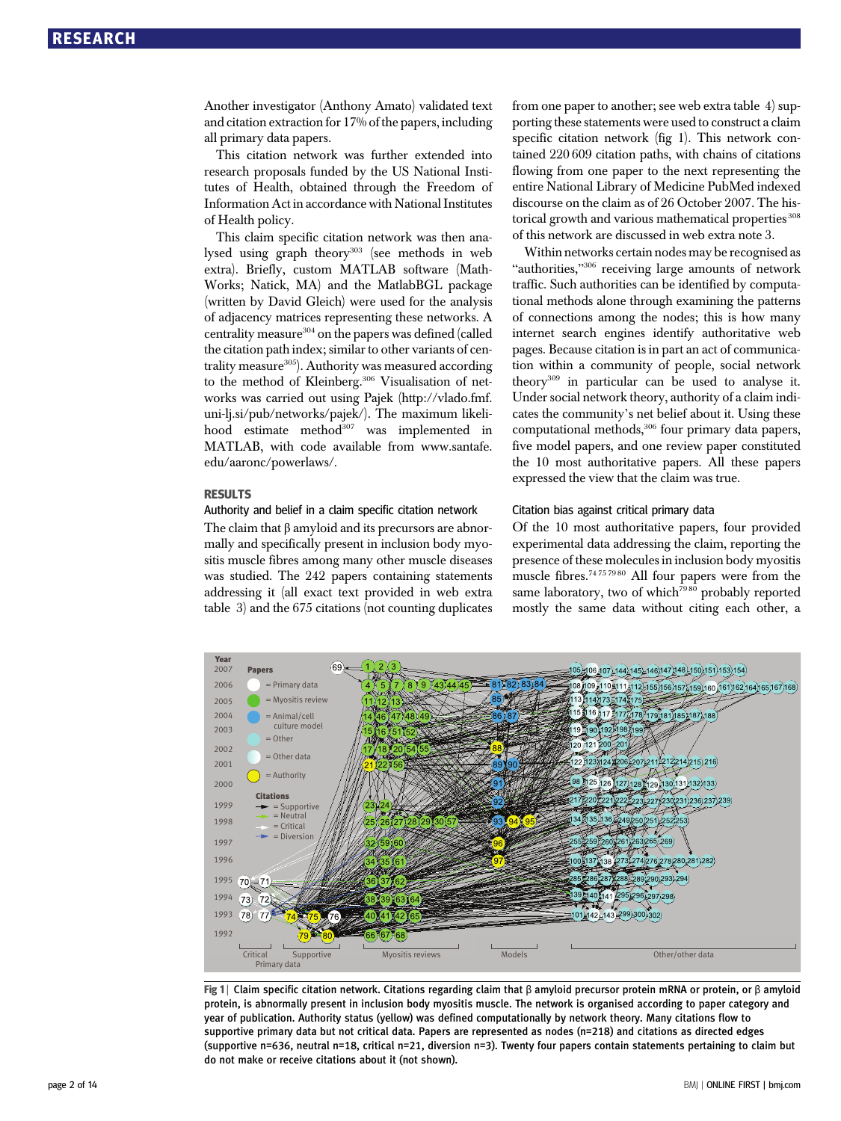Another investigator (Anthony Amato) validated text and citation extraction for 17% of the papers, including all primary data papers.

This citation network was further extended into research proposals funded by the US National Institutes of Health, obtained through the Freedom of Information Act in accordance with National Institutes of Health policy.

This claim specific citation network was then analysed using graph theory<sup>303</sup> (see methods in web extra). Briefly, custom MATLAB software (Math-Works; Natick, MA) and the MatlabBGL package (written by David Gleich) were used for the analysis of adjacency matrices representing these networks. A centrality measure<sup>304</sup> on the papers was defined (called the citation path index; similar to other variants of centrality measure<sup>305</sup>). Authority was measured according to the method of Kleinberg.<sup>306</sup> Visualisation of networks was carried out using Pajek (http://vlado.fmf. uni-lj.si/pub/networks/pajek/). The maximum likelihood estimate method<sup>307</sup> was implemented in MATLAB, with code available from www.santafe. edu/aaronc/powerlaws/.

## **RESULTS**

## Authority and belief in a claim specific citation network

The claim that β amyloid and its precursors are abnormally and specifically present in inclusion body myositis muscle fibres among many other muscle diseases was studied. The 242 papers containing statements addressing it (all exact text provided in web extra table 3) and the 675 citations (not counting duplicates from one paper to another; see web extra table 4) supporting these statements were used to construct a claim specific citation network (fig 1). This network contained 220 609 citation paths, with chains of citations flowing from one paper to the next representing the entire National Library of Medicine PubMed indexed discourse on the claim as of 26 October 2007. The historical growth and various mathematical properties<sup>308</sup> of this network are discussed in web extra note 3.

Within networks certain nodes may be recognised as "authorities,"306 receiving large amounts of network traffic. Such authorities can be identified by computational methods alone through examining the patterns of connections among the nodes; this is how many internet search engines identify authoritative web pages. Because citation is in part an act of communication within a community of people, social network theory309 in particular can be used to analyse it. Under social network theory, authority of a claim indicates the community's net belief about it. Using these computational methods,<sup>306</sup> four primary data papers, five model papers, and one review paper constituted the 10 most authoritative papers. All these papers expressed the view that the claim was true.

#### Citation bias against critical primary data

Of the 10 most authoritative papers, four provided experimental data addressing the claim, reporting the presence of these molecules in inclusion body myositis muscle fibres.<sup>74757980</sup> All four papers were from the same laboratory, two of which<sup>7980</sup> probably reported mostly the same data without citing each other, a



Fig 1 <sup>|</sup> Claim specific citation network. Citations regarding claim that <sup>β</sup> amyloid precursor protein mRNA or protein, or <sup>β</sup> amyloid protein, is abnormally present in inclusion body myositis muscle. The network is organised according to paper category and year of publication. Authority status (yellow) was defined computationally by network theory. Many citations flow to supportive primary data but not critical data. Papers are represented as nodes (n=218) and citations as directed edges (supportive n=636, neutral n=18, critical n=21, diversion n=3). Twenty four papers contain statements pertaining to claim but do not make or receive citations about it (not shown).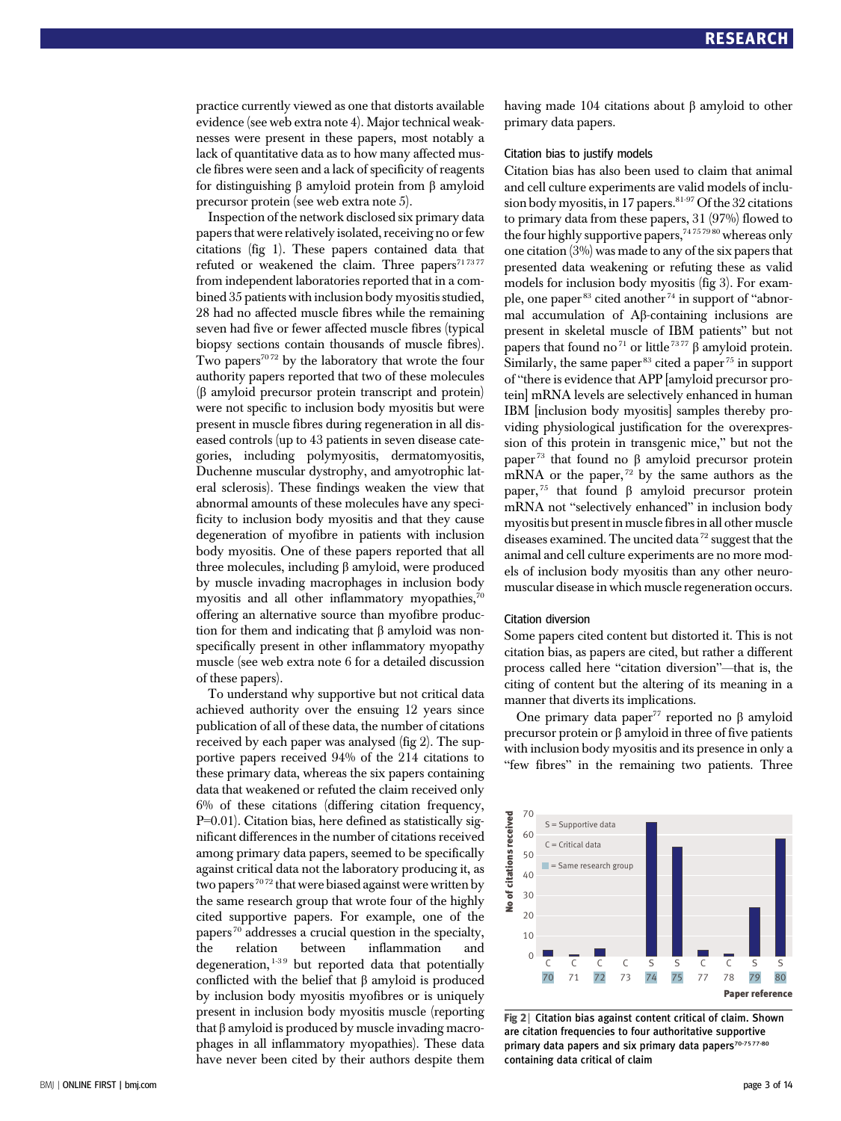practice currently viewed as one that distorts available evidence (see web extra note 4). Major technical weaknesses were present in these papers, most notably a lack of quantitative data as to how many affected muscle fibres were seen and a lack of specificity of reagents for distinguishing β amyloid protein from β amyloid precursor protein (see web extra note 5).

Inspection of the network disclosed six primary data papers that were relatively isolated, receiving no or few citations (fig 1). These papers contained data that refuted or weakened the claim. Three papers<sup>717377</sup> from independent laboratories reported that in a combined 35 patients with inclusion body myositis studied, 28 had no affected muscle fibres while the remaining seven had five or fewer affected muscle fibres (typical biopsy sections contain thousands of muscle fibres). Two papers<sup>7072</sup> by the laboratory that wrote the four authority papers reported that two of these molecules (β amyloid precursor protein transcript and protein) were not specific to inclusion body myositis but were present in muscle fibres during regeneration in all diseased controls (up to 43 patients in seven disease categories, including polymyositis, dermatomyositis, Duchenne muscular dystrophy, and amyotrophic lateral sclerosis). These findings weaken the view that abnormal amounts of these molecules have any specificity to inclusion body myositis and that they cause degeneration of myofibre in patients with inclusion body myositis. One of these papers reported that all three molecules, including β amyloid, were produced by muscle invading macrophages in inclusion body myositis and all other inflammatory myopathies,<sup>7</sup> offering an alternative source than myofibre production for them and indicating that β amyloid was nonspecifically present in other inflammatory myopathy muscle (see web extra note 6 for a detailed discussion of these papers).

To understand why supportive but not critical data achieved authority over the ensuing 12 years since publication of all of these data, the number of citations received by each paper was analysed (fig 2). The supportive papers received 94% of the 214 citations to these primary data, whereas the six papers containing data that weakened or refuted the claim received only 6% of these citations (differing citation frequency, P=0.01). Citation bias, here defined as statistically significant differences in the number of citations received among primary data papers, seemed to be specifically against critical data not the laboratory producing it, as two papers<sup>7072</sup> that were biased against were written by the same research group that wrote four of the highly cited supportive papers. For example, one of the papers <sup>70</sup> addresses a crucial question in the specialty, the relation between inflammation and degeneration,  $1-39$  but reported data that potentially conflicted with the belief that β amyloid is produced by inclusion body myositis myofibres or is uniquely present in inclusion body myositis muscle (reporting that β amyloid is produced by muscle invading macrophages in all inflammatory myopathies). These data have never been cited by their authors despite them having made 104 citations about β amyloid to other primary data papers.

#### Citation bias to justify models

Citation bias has also been used to claim that animal and cell culture experiments are valid models of inclusion body myositis, in 17 papers. $81-97$  Of the 32 citations to primary data from these papers, 31 (97%) flowed to the four highly supportive papers,<sup>74757980</sup> whereas only one citation (3%) was made to any of the six papers that presented data weakening or refuting these as valid models for inclusion body myositis (fig 3). For example, one paper<sup>83</sup> cited another<sup>74</sup> in support of "abnormal accumulation of Aβ-containing inclusions are present in skeletal muscle of IBM patients" but not papers that found no<sup>71</sup> or little<sup>7377</sup> β amyloid protein. Similarly, the same paper  $83$  cited a paper  $75$  in support of "there is evidence that APP [amyloid precursor protein] mRNA levels are selectively enhanced in human IBM [inclusion body myositis] samples thereby providing physiological justification for the overexpression of this protein in transgenic mice," but not the paper<sup>73</sup> that found no β amyloid precursor protein mRNA or the paper, $72$  by the same authors as the paper,<sup>75</sup> that found β amyloid precursor protein mRNA not "selectively enhanced" in inclusion body myositis but present in muscle fibres in all other muscle diseases examined. The uncited data <sup>72</sup> suggest that the animal and cell culture experiments are no more models of inclusion body myositis than any other neuromuscular disease in which muscle regeneration occurs.

#### Citation diversion

Some papers cited content but distorted it. This is not citation bias, as papers are cited, but rather a different process called here "citation diversion"—that is, the citing of content but the altering of its meaning in a manner that diverts its implications.

One primary data paper<sup>77</sup> reported no β amyloid precursor protein or β amyloid in three of five patients with inclusion body myositis and its presence in only a "few fibres" in the remaining two patients. Three



 $\overline{Fig 2}$  Citation bias against content critical of claim. Shown are citation frequencies to four authoritative supportive primary data papers and six primary data papers70-7577-80 containing data critical of claim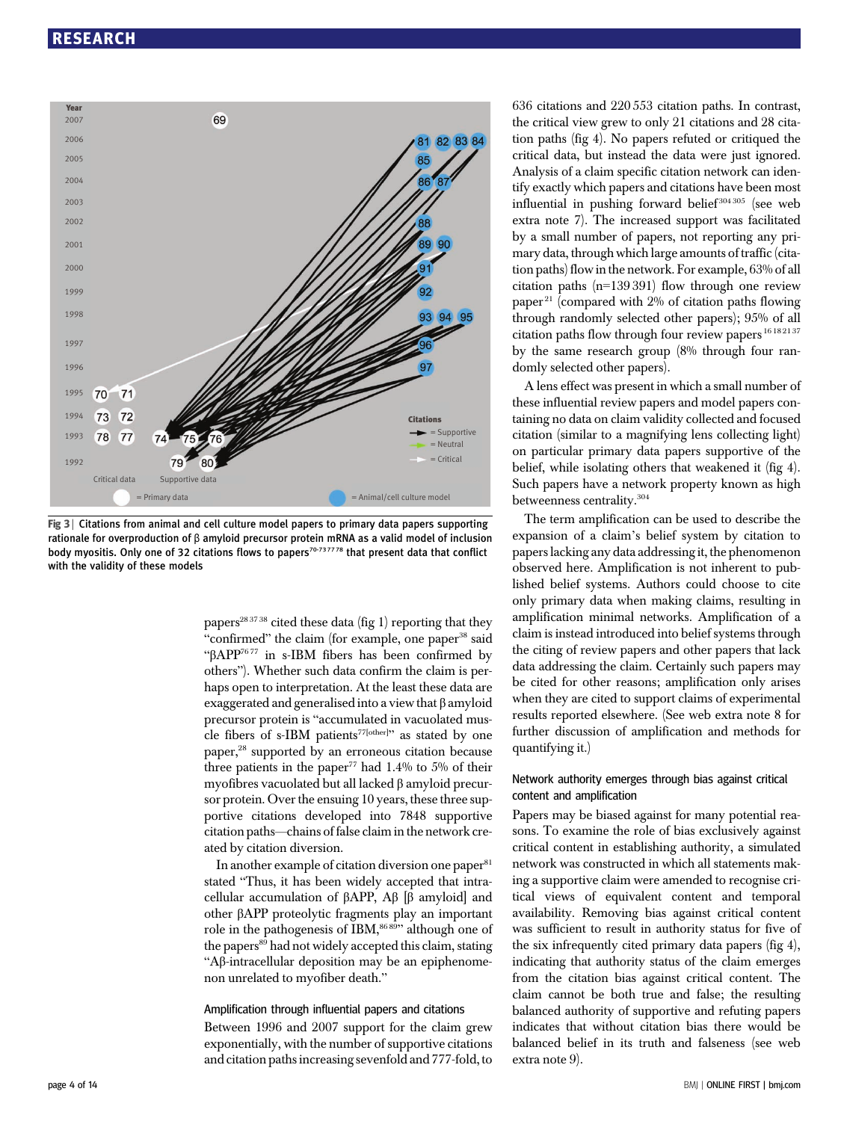

Fig 3 | Citations from animal and cell culture model papers to primary data papers supporting rationale for overproduction of β amyloid precursor protein mRNA as a valid model of inclusion body myositis. Only one of 32 citations flows to papers<sup>70-7377</sup><sup>8</sup> that present data that conflict with the validity of these models

papers<sup>283738</sup> cited these data (fig 1) reporting that they "confirmed" the claim (for example, one paper<sup>38</sup> said "βAPP<sup>7677</sup> in s-IBM fibers has been confirmed by others"). Whether such data confirm the claim is perhaps open to interpretation. At the least these data are exaggerated and generalised into a view that β amyloid precursor protein is "accumulated in vacuolated muscle fibers of s-IBM patients<sup>77[other]</sup>" as stated by one paper,28 supported by an erroneous citation because three patients in the paper<sup>77</sup> had  $1.4\%$  to 5% of their myofibres vacuolated but all lacked β amyloid precursor protein. Over the ensuing 10 years, these three supportive citations developed into 7848 supportive citation paths—chains of false claim in the network created by citation diversion.

In another example of citation diversion one paper<sup>81</sup> stated "Thus, it has been widely accepted that intracellular accumulation of βAPP, Aβ [β amyloid] and other βAPP proteolytic fragments play an important role in the pathogenesis of IBM,<sup>86,89</sup>" although one of the papers<sup>89</sup> had not widely accepted this claim, stating "Aβ-intracellular deposition may be an epiphenomenon unrelated to myofiber death."

#### Amplification through influential papers and citations

Between 1996 and 2007 support for the claim grew exponentially, with the number of supportive citations and citation paths increasing sevenfold and 777-fold, to 636 citations and 220 553 citation paths. In contrast, the critical view grew to only 21 citations and 28 citation paths (fig 4). No papers refuted or critiqued the critical data, but instead the data were just ignored. Analysis of a claim specific citation network can identify exactly which papers and citations have been most influential in pushing forward belief<sup>304 305</sup> (see web extra note 7). The increased support was facilitated by a small number of papers, not reporting any primary data, through which large amounts of traffic (citation paths) flow in the network. For example, 63% of all citation paths (n=139 391) flow through one review paper<sup>21</sup> (compared with  $2\%$  of citation paths flowing through randomly selected other papers); 95% of all citation paths flow through four review papers<sup>16182137</sup> by the same research group (8% through four randomly selected other papers).

A lens effect was present in which a small number of these influential review papers and model papers containing no data on claim validity collected and focused citation (similar to a magnifying lens collecting light) on particular primary data papers supportive of the belief, while isolating others that weakened it (fig 4). Such papers have a network property known as high betweenness centrality.<sup>304</sup>

The term amplification can be used to describe the expansion of a claim's belief system by citation to papers lacking any data addressing it, the phenomenon observed here. Amplification is not inherent to published belief systems. Authors could choose to cite only primary data when making claims, resulting in amplification minimal networks. Amplification of a claim is instead introduced into belief systems through the citing of review papers and other papers that lack data addressing the claim. Certainly such papers may be cited for other reasons; amplification only arises when they are cited to support claims of experimental results reported elsewhere. (See web extra note 8 for further discussion of amplification and methods for quantifying it.)

## Network authority emerges through bias against critical content and amplification

Papers may be biased against for many potential reasons. To examine the role of bias exclusively against critical content in establishing authority, a simulated network was constructed in which all statements making a supportive claim were amended to recognise critical views of equivalent content and temporal availability. Removing bias against critical content was sufficient to result in authority status for five of the six infrequently cited primary data papers (fig 4), indicating that authority status of the claim emerges from the citation bias against critical content. The claim cannot be both true and false; the resulting balanced authority of supportive and refuting papers indicates that without citation bias there would be balanced belief in its truth and falseness (see web extra note 9).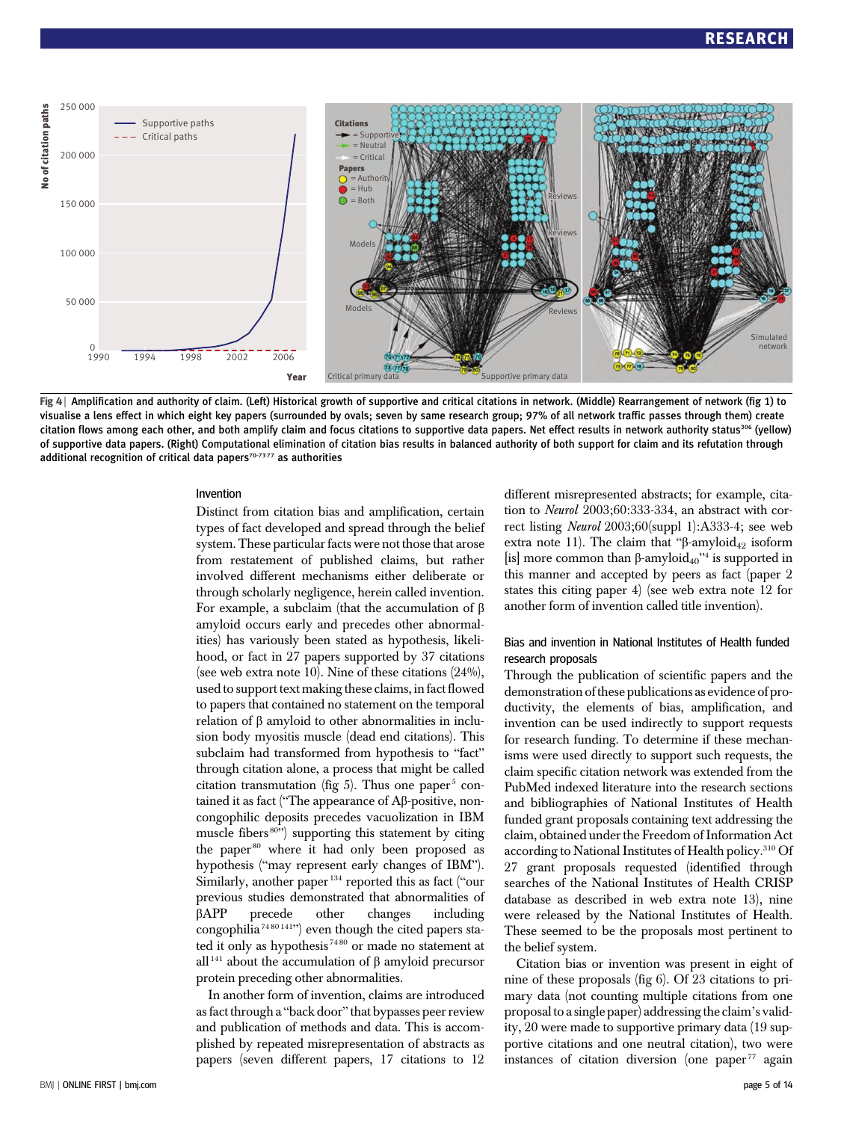

Fig 4 <sup>|</sup> Amplification and authority of claim. (Left) Historical growth of supportive and critical citations in network. (Middle) Rearrangement of network (fig 1) to visualise a lens effect in which eight key papers (surrounded by ovals; seven by same research group; 97% of all network traffic passes through them) create citation flows among each other, and both amplify claim and focus citations to supportive data papers. Net effect results in network authority status<sup>306</sup> (yellow) of supportive data papers. (Right) Computational elimination of citation bias results in balanced authority of both support for claim and its refutation through additional recognition of critical data papers $70-7377$  as authorities

#### Invention

Distinct from citation bias and amplification, certain types of fact developed and spread through the belief system. These particular facts were not those that arose from restatement of published claims, but rather involved different mechanisms either deliberate or through scholarly negligence, herein called invention. For example, a subclaim (that the accumulation of β amyloid occurs early and precedes other abnormalities) has variously been stated as hypothesis, likelihood, or fact in 27 papers supported by 37 citations (see web extra note 10). Nine of these citations (24%), used to support text making these claims, in fact flowed to papers that contained no statement on the temporal relation of β amyloid to other abnormalities in inclusion body myositis muscle (dead end citations). This subclaim had transformed from hypothesis to "fact" through citation alone, a process that might be called citation transmutation (fig  $5$ ). Thus one paper<sup>5</sup> contained it as fact ("The appearance of Aβ-positive, noncongophilic deposits precedes vacuolization in IBM muscle fibers <sup>80</sup>") supporting this statement by citing the paper<sup>80</sup> where it had only been proposed as hypothesis ("may represent early changes of IBM"). Similarly, another paper <sup>134</sup> reported this as fact ("our previous studies demonstrated that abnormalities of<br>  $\beta$ APP precede other changes including βAPP precede other changes including congophilia<sup>7480 141</sup>") even though the cited papers stated it only as hypothesis<sup>7480</sup> or made no statement at all<sup>141</sup> about the accumulation of β amyloid precursor protein preceding other abnormalities.

In another form of invention, claims are introduced as fact through a "back door" that bypasses peer review and publication of methods and data. This is accomplished by repeated misrepresentation of abstracts as papers (seven different papers, 17 citations to 12 different misrepresented abstracts; for example, citation to Neurol 2003;60:333-334, an abstract with correct listing Neurol 2003;60(suppl 1):A333-4; see web extra note 11). The claim that "β-amyloid<sub>42</sub> isoform [is] more common than β-amyloid<sub>40</sub><sup>34</sup> is supported in this manner and accepted by peers as fact (paper 2 states this citing paper 4) (see web extra note 12 for another form of invention called title invention).

### Bias and invention in National Institutes of Health funded research proposals

Through the publication of scientific papers and the demonstration of these publications as evidence of productivity, the elements of bias, amplification, and invention can be used indirectly to support requests for research funding. To determine if these mechanisms were used directly to support such requests, the claim specific citation network was extended from the PubMed indexed literature into the research sections and bibliographies of National Institutes of Health funded grant proposals containing text addressing the claim, obtained under the Freedom of Information Act according to National Institutes of Health policy.<sup>310</sup> Of 27 grant proposals requested (identified through searches of the National Institutes of Health CRISP database as described in web extra note 13), nine were released by the National Institutes of Health. These seemed to be the proposals most pertinent to the belief system.

Citation bias or invention was present in eight of nine of these proposals (fig 6). Of 23 citations to primary data (not counting multiple citations from one proposal to a single paper) addressing the claim's validity, 20 were made to supportive primary data (19 supportive citations and one neutral citation), two were instances of citation diversion (one paper<sup>77</sup> again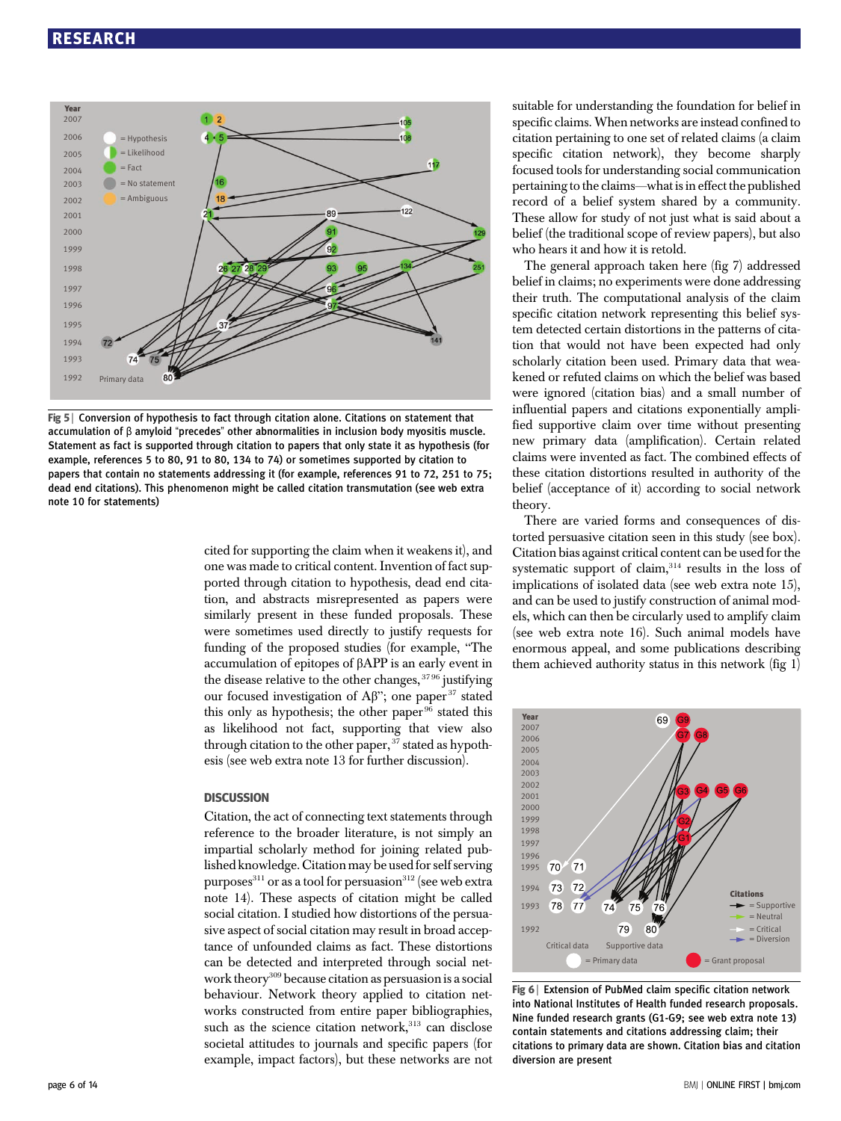# <u>researches</u>



Fig 5 | Conversion of hypothesis to fact through citation alone. Citations on statement that accumulation of β amyloid "precedes" other abnormalities in inclusion body myositis muscle. Statement as fact is supported through citation to papers that only state it as hypothesis (for example, references 5 to 80, 91 to 80, 134 to 74) or sometimes supported by citation to papers that contain no statements addressing it (for example, references 91 to 72, 251 to 75; dead end citations). This phenomenon might be called citation transmutation (see web extra note 10 for statements)

cited for supporting the claim when it weakens it), and one was made to critical content. Invention of fact supported through citation to hypothesis, dead end citation, and abstracts misrepresented as papers were similarly present in these funded proposals. These were sometimes used directly to justify requests for funding of the proposed studies (for example, "The accumulation of epitopes of βAPP is an early event in the disease relative to the other changes, 37 96 justifying our focused investigation of  $A\beta$ "; one paper<sup>37</sup> stated this only as hypothesis; the other paper  $96$  stated this as likelihood not fact, supporting that view also through citation to the other paper,  $37$  stated as hypothesis (see web extra note 13 for further discussion).

DISCUSSION Citation, the act of connecting text statements through reference to the broader literature, is not simply an impartial scholarly method for joining related published knowledge. Citation may be used for self serving purposes $^{311}$  or as a tool for persuasion $^{312}$  (see web extra note 14). These aspects of citation might be called social citation. I studied how distortions of the persuasive aspect of social citation may result in broad acceptance of unfounded claims as fact. These distortions can be detected and interpreted through social network theory<sup>309</sup> because citation as persuasion is a social behaviour. Network theory applied to citation networks constructed from entire paper bibliographies, such as the science citation network, $313$  can disclose societal attitudes to journals and specific papers (for example, impact factors), but these networks are not suitable for understanding the foundation for belief in specific claims. When networks are instead confined to citation pertaining to one set of related claims (a claim specific citation network), they become sharply focused tools for understanding social communication pertaining to the claims—what is in effect the published record of a belief system shared by a community. These allow for study of not just what is said about a belief (the traditional scope of review papers), but also who hears it and how it is retold.

The general approach taken here (fig 7) addressed belief in claims; no experiments were done addressing their truth. The computational analysis of the claim specific citation network representing this belief system detected certain distortions in the patterns of citation that would not have been expected had only scholarly citation been used. Primary data that weakened or refuted claims on which the belief was based were ignored (citation bias) and a small number of influential papers and citations exponentially amplified supportive claim over time without presenting new primary data (amplification). Certain related claims were invented as fact. The combined effects of these citation distortions resulted in authority of the belief (acceptance of it) according to social network theory.

There are varied forms and consequences of distorted persuasive citation seen in this study (see box). Citation bias against critical content can be used for the systematic support of claim, $314$  results in the loss of implications of isolated data (see web extra note 15), and can be used to justify construction of animal models, which can then be circularly used to amplify claim (see web extra note 16). Such animal models have enormous appeal, and some publications describing them achieved authority status in this network (fig 1)



Fig 6 | Extension of PubMed claim specific citation network into National Institutes of Health funded research proposals. Nine funded research grants (G1-G9; see web extra note 13) contain statements and citations addressing claim; their citations to primary data are shown. Citation bias and citation diversion are present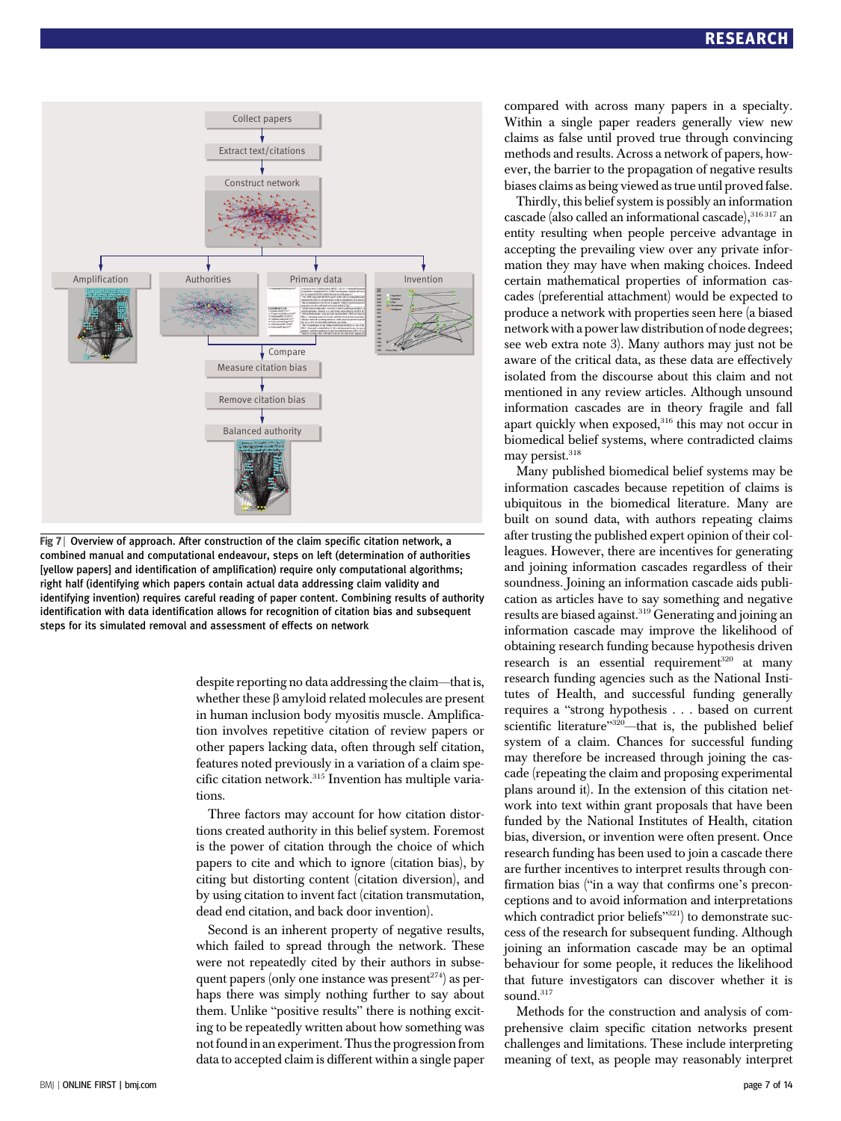

Fig 7 | Overview of approach. After construction of the claim specific citation network, a combined manual and computational endeavour, steps on left (determination of authorities [yellow papers] and identification of amplification) require only computational algorithms; right half (identifying which papers contain actual data addressing claim validity and identifying invention) requires careful reading of paper content. Combining results of authority identification with data identification allows for recognition of citation bias and subsequent steps for its simulated removal and assessment of effects on network

despite reporting no data addressing the claim—that is, whether these β amyloid related molecules are present in human inclusion body myositis muscle. Amplification involves repetitive citation of review papers or other papers lacking data, often through self citation, features noted previously in a variation of a claim specific citation network.315 Invention has multiple variations.

Three factors may account for how citation distortions created authority in this belief system. Foremost is the power of citation through the choice of which papers to cite and which to ignore (citation bias), by citing but distorting content (citation diversion), and by using citation to invent fact (citation transmutation, dead end citation, and back door invention).

Second is an inherent property of negative results, which failed to spread through the network. These were not repeatedly cited by their authors in subsequent papers (only one instance was present $274$ ) as perhaps there was simply nothing further to say about them. Unlike "positive results" there is nothing exciting to be repeatedly written about how something was not found in an experiment. Thus the progression from data to accepted claim is different within a single paper compared with across many papers in a specialty. Within a single paper readers generally view new claims as false until proved true through convincing methods and results. Across a network of papers, however, the barrier to the propagation of negative results biases claims as being viewed as true until proved false.

Thirdly, this belief system is possibly an information cascade (also called an informational cascade), 316317 an entity resulting when people perceive advantage in accepting the prevailing view over any private information they may have when making choices. Indeed certain mathematical properties of information cascades (preferential attachment) would be expected to produce a network with properties seen here (a biased network with a power law distribution of node degrees; see web extra note 3). Many authors may just not be aware of the critical data, as these data are effectively isolated from the discourse about this claim and not mentioned in any review articles. Although unsound information cascades are in theory fragile and fall apart quickly when exposed, $316$  this may not occur in biomedical belief systems, where contradicted claims may persist.<sup>318</sup>

Many published biomedical belief systems may be information cascades because repetition of claims is ubiquitous in the biomedical literature. Many are built on sound data, with authors repeating claims after trusting the published expert opinion of their colleagues. However, there are incentives for generating and joining information cascades regardless of their soundness. Joining an information cascade aids publication as articles have to say something and negative results are biased against.319 Generating and joining an information cascade may improve the likelihood of obtaining research funding because hypothesis driven research is an essential requirement $320$  at many research funding agencies such as the National Institutes of Health, and successful funding generally requires a "strong hypothesis . . . based on current scientific literature"320-that is, the published belief system of a claim. Chances for successful funding may therefore be increased through joining the cascade (repeating the claim and proposing experimental plans around it). In the extension of this citation network into text within grant proposals that have been funded by the National Institutes of Health, citation bias, diversion, or invention were often present. Once research funding has been used to join a cascade there are further incentives to interpret results through confirmation bias ("in a way that confirms one's preconceptions and to avoid information and interpretations which contradict prior beliefs"<sup>321</sup>) to demonstrate success of the research for subsequent funding. Although joining an information cascade may be an optimal behaviour for some people, it reduces the likelihood that future investigators can discover whether it is sound.<sup>317</sup>

Methods for the construction and analysis of comprehensive claim specific citation networks present challenges and limitations. These include interpreting meaning of text, as people may reasonably interpret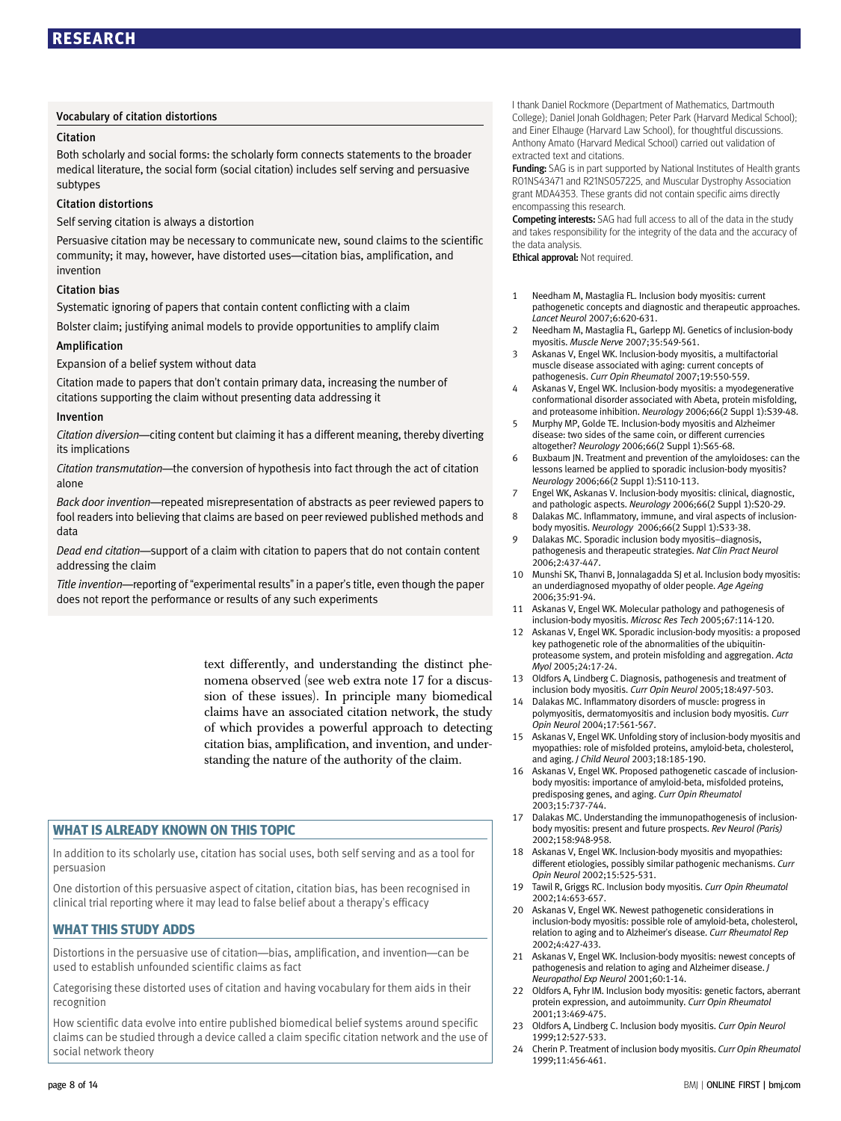#### Vocabulary of citation distortions

#### Citation

Both scholarly and social forms: the scholarly form connects statements to the broader medical literature, the social form (social citation) includes self serving and persuasive subtypes

#### Citation distortions

Self serving citation is always a distortion

Persuasive citation may be necessary to communicate new, sound claims to the scientific community; it may, however, have distorted uses—citation bias, amplification, and invention

#### Citation bias

Systematic ignoring of papers that contain content conflicting with a claim

Bolster claim; justifying animal models to provide opportunities to amplify claim

#### Amplification

Expansion of a belief system without data

Citation made to papers that don't contain primary data, increasing the number of citations supporting the claim without presenting data addressing it

#### Invention

Citation diversion—citing content but claiming it has a different meaning, thereby diverting its implications

Citation transmutation—the conversion of hypothesis into fact through the act of citation alone

Back door invention—repeated misrepresentation of abstracts as peer reviewed papers to fool readers into believing that claims are based on peer reviewed published methods and data

Dead end citation—support of a claim with citation to papers that do not contain content addressing the claim

Title invention—reporting of "experimental results" in a paper's title, even though the paper does not report the performance or results of any such experiments

> text differently, and understanding the distinct phenomena observed (see web extra note 17 for a discussion of these issues). In principle many biomedical claims have an associated citation network, the study of which provides a powerful approach to detecting citation bias, amplification, and invention, and understanding the nature of the authority of the claim.

## <u>What is already continued by the state of the state</u>

In addition to its scholarly use, citation has social uses, both self serving and as a tool for persuasion

One distortion of this persuasive aspect of citation, citation bias, has been recognised in clinical trial reporting where it may lead to false belief about a therapy's efficacy

WHAT THIS STUDY ADDS Distortions in the persuasive use of citation—bias, amplification, and invention—can be used to establish unfounded scientific claims as fact

Categorising these distorted uses of citation and having vocabulary for them aids in their recognition

How scientific data evolve into entire published biomedical belief systems around specific claims can be studied through a device called a claim specific citation network and the use of social network theory

I thank Daniel Rockmore (Department of Mathematics, Dartmouth College); Daniel Jonah Goldhagen; Peter Park (Harvard Medical School); and Einer Elhauge (Harvard Law School), for thoughtful discussions. Anthony Amato (Harvard Medical School) carried out validation of extracted text and citations.

Funding: SAG is in part supported by National Institutes of Health grants R01NS43471 and R21NS057225, and Muscular Dystrophy Association grant MDA4353. These grants did not contain specific aims directly encompassing this research.

Competing interests: SAG had full access to all of the data in the study and takes responsibility for the integrity of the data and the accuracy of the data analysis.

**Ethical approval: Not required.** 

- 1 Needham M, Mastaglia FL. Inclusion body myositis: current pathogenetic concepts and diagnostic and therapeutic approaches. Lancet Neurol 2007;6:620-631.
- 2 Needham M, Mastaglia FL, Garlepp MJ. Genetics of inclusion-body myositis. Muscle Nerve 2007;35:549-561.
- 3 Askanas V, Engel WK. Inclusion-body myositis, a multifactorial muscle disease associated with aging: current concepts of pathogenesis. Curr Opin Rheumatol 2007;19:550-559.
- 4 Askanas V, Engel WK. Inclusion-body myositis: a myodegenerative conformational disorder associated with Abeta, protein misfolding, and proteasome inhibition. Neurology 2006;66(2 Suppl 1):S39-48.
- 5 Murphy MP, Golde TE. Inclusion-body myositis and Alzheimer disease: two sides of the same coin, or different currencies altogether? Neurology 2006;66(2 Suppl 1):S65-68.
- 6 Buxbaum JN. Treatment and prevention of the amyloidoses: can the lessons learned be applied to sporadic inclusion-body myositis? Neurology 2006;66(2 Suppl 1):S110-113.
- Engel WK, Askanas V. Inclusion-body myositis: clinical, diagnostic, and pathologic aspects. Neurology 2006;66(2 Suppl 1):S20-29.
- 8 Dalakas MC. Inflammatory, immune, and viral aspects of inclusionbody myositis. Neurology 2006;66(2 Suppl 1):S33-38.
- 9 Dalakas MC. Sporadic inclusion body myositis–diagnosis, pathogenesis and therapeutic strategies. Nat Clin Pract Neurol 2006;2:437-447.
- 10 Munshi SK, Thanvi B, Jonnalagadda SJ et al. Inclusion body myositis: an underdiagnosed myopathy of older people. Age Ageing 2006;35:91-94.
- 11 Askanas V, Engel WK. Molecular pathology and pathogenesis of inclusion-body myositis. Microsc Res Tech 2005;67:114-120.
- 12 Askanas V, Engel WK. Sporadic inclusion-body myositis: a proposed key pathogenetic role of the abnormalities of the ubiquitinproteasome system, and protein misfolding and aggregation. Acta Myol 2005;24:17-24.
- 13 Oldfors A, Lindberg C. Diagnosis, pathogenesis and treatment of inclusion body myositis. Curr Opin Neurol 2005;18:497-503.
- 14 Dalakas MC. Inflammatory disorders of muscle: progress in polymyositis, dermatomyositis and inclusion body myositis. Curr Opin Neurol 2004;17:561-567.
- 15 Askanas V, Engel WK. Unfolding story of inclusion-body myositis and myopathies: role of misfolded proteins, amyloid-beta, cholesterol, and aging. J Child Neurol 2003;18:185-190.
- 16 Askanas V, Engel WK. Proposed pathogenetic cascade of inclusionbody myositis: importance of amyloid-beta, misfolded proteins, predisposing genes, and aging. Curr Opin Rheumatol 2003;15:737-744.
- 17 Dalakas MC. Understanding the immunopathogenesis of inclusionbody myositis: present and future prospects. Rev Neurol (Paris) 2002;158:948-958.
- 18 Askanas V, Engel WK. Inclusion-body myositis and myopathies: different etiologies, possibly similar pathogenic mechanisms. Curr Opin Neurol 2002;15:525-531.
- 19 Tawil R, Griggs RC. Inclusion body myositis. Curr Opin Rheumatol 2002;14:653-657.
- 20 Askanas V, Engel WK. Newest pathogenetic considerations in inclusion-body myositis: possible role of amyloid-beta, cholesterol, relation to aging and to Alzheimer's disease. Curr Rheumatol Rep 2002;4:427-433.
- 21 Askanas V, Engel WK. Inclusion-body myositis: newest concepts of pathogenesis and relation to aging and Alzheimer disease. J Neuropathol Exp Neurol 2001;60:1-14.
- 22 Oldfors A, Fyhr IM, Inclusion body myositis: genetic factors, aberrant protein expression, and autoimmunity. Curr Opin Rheumatol 2001;13:469-475.
- 23 Oldfors A, Lindberg C. Inclusion body myositis. Curr Opin Neurol 1999;12:527-533.
- 24 Cherin P. Treatment of inclusion body myositis. Curr Opin Rheumatol 1999;11:456-461.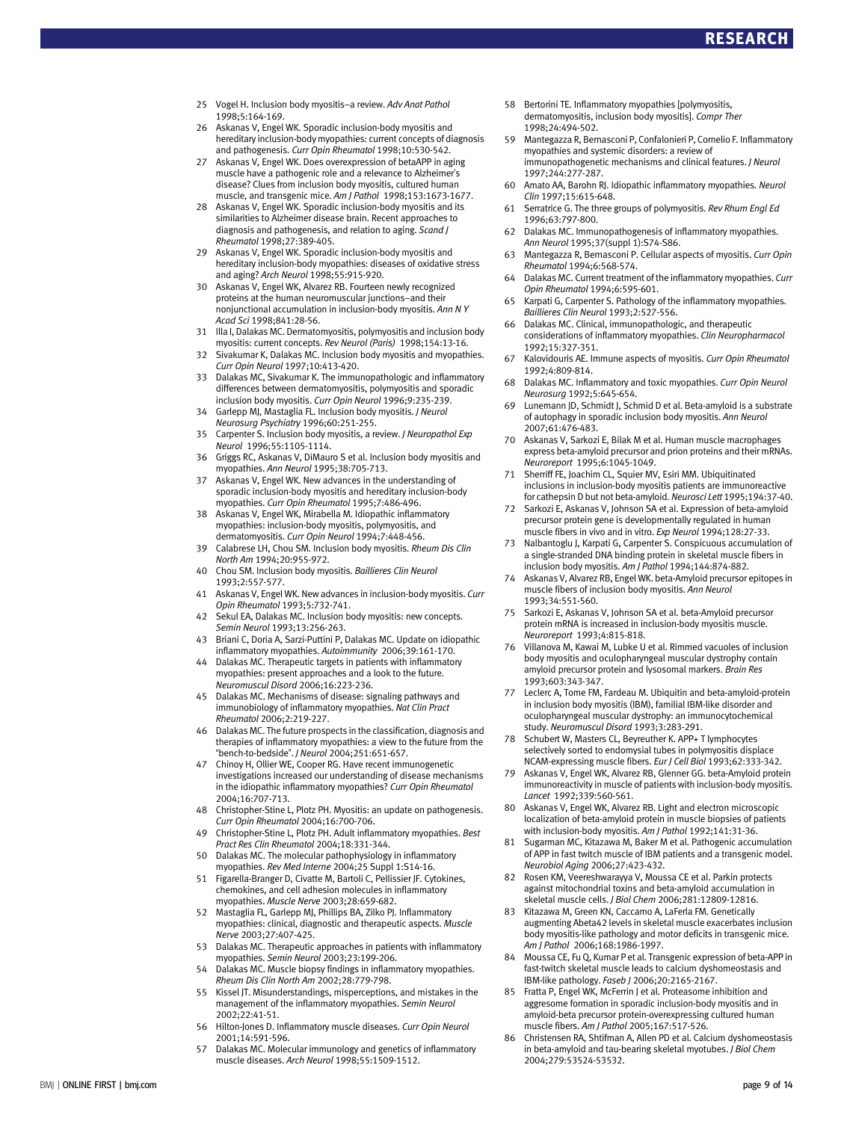- 25 Vogel H. Inclusion body myositis–a review. Adv Anat Pathol 1998;5:164-169.
- 26 Askanas V, Engel WK. Sporadic inclusion-body myositis and hereditary inclusion-body myopathies: current concepts of diagnosis and pathogenesis. Curr Opin Rheumatol 1998;10:530-542.
- 27 Askanas V, Engel WK. Does overexpression of betaAPP in aging muscle have a pathogenic role and a relevance to Alzheimer's disease? Clues from inclusion body myositis, cultured human muscle, and transgenic mice. Am J Pathol 1998;153:1673-1677.
- 28 Askanas V, Engel WK. Sporadic inclusion-body myositis and its similarities to Alzheimer disease brain. Recent approaches to diagnosis and pathogenesis, and relation to aging. Scand J Rheumatol 1998;27:389-405.
- 29 Askanas V, Engel WK. Sporadic inclusion-body myositis and hereditary inclusion-body myopathies: diseases of oxidative stress and aging? Arch Neurol 1998;55:915-920.
- 30 Askanas V, Engel WK, Alvarez RB. Fourteen newly recognized proteins at the human neuromuscular junctions–and their nonjunctional accumulation in inclusion-body myositis. Ann N Y Acad Sci 1998;841:28-56.
- 31 Illa I, Dalakas MC. Dermatomyositis, polymyositis and inclusion body myositis: current concepts. Rev Neurol (Paris) 1998;154:13-16.
- 32 Sivakumar K, Dalakas MC. Inclusion body myositis and myopathies. Curr Opin Neurol 1997;10:413-420.
- 33 Dalakas MC, Sivakumar K. The immunopathologic and inflammatory differences between dermatomyositis, polymyositis and sporadic inclusion body myositis. Curr Opin Neurol 1996;9:235-239.
- 34 Garlepp MJ, Mastaglia FL. Inclusion body myositis. J Neurol Neurosurg Psychiatry 1996;60:251-255.
- 35 Carpenter S. Inclusion body myositis, a review. J Neuropathol Exp Neurol 1996;55:1105-1114.
- 36 Griggs RC, Askanas V, DiMauro S et al. Inclusion body myositis and myopathies. Ann Neurol 1995;38:705-713.
- 37 Askanas V, Engel WK. New advances in the understanding of sporadic inclusion-body myositis and hereditary inclusion-body myopathies. Curr Opin Rheumatol 1995;7:486-496.
- 38 Askanas V, Engel WK, Mirabella M. Idiopathic inflammatory myopathies: inclusion-body myositis, polymyositis, and dermatomyositis. Curr Opin Neurol 1994;7:448-456.
- 39 Calabrese LH, Chou SM. Inclusion body myositis. Rheum Dis Clin North Am 1994;20:955-972.
- 40 Chou SM. Inclusion body myositis. Baillieres Clin Neurol 1993;2:557-577.
- 41 Askanas V, Engel WK. New advances in inclusion-body myositis. Curr Opin Rheumatol 1993;5:732-741.
- 42 Sekul EA, Dalakas MC. Inclusion body myositis: new concepts. Semin Neurol 1993;13:256-263.
- 43 Briani C, Doria A, Sarzi-Puttini P, Dalakas MC. Update on idiopathic inflammatory myopathies. Autoimmunity 2006;39:161-170.
- 44 Dalakas MC. Therapeutic targets in patients with inflammatory myopathies: present approaches and a look to the future. Neuromuscul Disord 2006;16:223-236.
- 45 Dalakas MC. Mechanisms of disease: signaling pathways and immunobiology of inflammatory myopathies. Nat Clin Pract Rheumatol 2006;2:219-227.
- 46 Dalakas MC. The future prospects in the classification, diagnosis and therapies of inflammatory myopathies: a view to the future from the "bench-to-bedside". J Neurol 2004;251:651-657.
- 47 Chinoy H, Ollier WE, Cooper RG. Have recent immunogenetic investigations increased our understanding of disease mechanisms in the idiopathic inflammatory myopathies? Curr Opin Rheumatol 2004;16:707-713.
- 48 Christopher-Stine L, Plotz PH. Myositis: an update on pathogenesis. Curr Opin Rheumatol 2004;16:700-706.
- 49 Christopher-Stine L, Plotz PH. Adult inflammatory myopathies. Best Pract Res Clin Rheumatol 2004;18:331-344.
- 50 Dalakas MC. The molecular pathophysiology in inflammatory myopathies. Rev Med Interne 2004;25 Suppl 1:S14-16.
- 51 Figarella-Branger D, Civatte M, Bartoli C, Pellissier JF. Cytokines, chemokines, and cell adhesion molecules in inflammatory myopathies. Muscle Nerve 2003;28:659-682.
- 52 Mastaglia FL, Garlepp MJ, Phillips BA, Zilko PJ. Inflammatory myopathies: clinical, diagnostic and therapeutic aspects. Muscle Nerve 2003;27:407-425.
- 53 Dalakas MC. Therapeutic approaches in patients with inflammatory myopathies. Semin Neurol 2003;23:199-206.
- 54 Dalakas MC. Muscle biopsy findings in inflammatory myopathies. Rheum Dis Clin North Am 2002;28:779-798.
- 55 Kissel JT. Misunderstandings, misperceptions, and mistakes in the management of the inflammatory myopathies. Semin Neurol 2002;22:41-51.
- 56 Hilton-Jones D. Inflammatory muscle diseases. Curr Opin Neurol 2001;14:591-596.
- 57 Dalakas MC. Molecular immunology and genetics of inflammatory muscle diseases. Arch Neurol 1998;55:1509-1512.
- 58 Bertorini TE. Inflammatory myopathies [polymyositis, dermatomyositis, inclusion body myositis]. Compr Ther 1998;24:494-502.
- 59 Mantegazza R, Bernasconi P, Confalonieri P, Cornelio F. Inflammatory myopathies and systemic disorders: a review of immunopathogenetic mechanisms and clinical features. J Neurol 1997;244:277-287.
- 60 Amato AA, Barohn RJ. Idiopathic inflammatory myopathies. Neurol Clin 1997;15:615-648.
- 61 Serratrice G. The three groups of polymyositis. Rev Rhum Engl Ed 1996;63:797-800.
- 62 Dalakas MC. Immunopathogenesis of inflammatory myopathies. Ann Neurol 1995;37(suppl 1):S74-S86.
- 63 Mantegazza R, Bernasconi P. Cellular aspects of myositis. Curr Opin Rheumatol 1994;6:568-574.
- 64 Dalakas MC. Current treatment of the inflammatory myopathies. Curr Opin Rheumatol 1994;6:595-601.
- 65 Karpati G, Carpenter S. Pathology of the inflammatory myopathies. Baillieres Clin Neurol 1993;2:527-556.
- Dalakas MC. Clinical, immunopathologic, and therapeutic considerations of inflammatory myopathies. Clin Neuropharmacol 1992;15:327-351.
- 67 Kalovidouris AE. Immune aspects of myositis. Curr Opin Rheumatol 1992;4:809-814.
- 68 Dalakas MC. Inflammatory and toxic myopathies. Curr Opin Neurol Neurosurg 1992;5:645-654.
- 69 Lunemann JD, Schmidt J, Schmid D et al. Beta-amyloid is a substrate of autophagy in sporadic inclusion body myositis. Ann Neurol 2007;61:476-483.
- 70 Askanas V, Sarkozi E, Bilak M et al. Human muscle macrophages express beta-amyloid precursor and prion proteins and their mRNAs. Neuroreport 1995;6:1045-1049.
- 71 Sherriff FE, Joachim CL, Squier MV, Esiri MM. Ubiquitinated inclusions in inclusion-body myositis patients are immunoreactive for cathepsin D but not beta-amyloid. Neurosci Lett 1995;194:37-40.
- 72 Sarkozi E, Askanas V, Johnson SA et al. Expression of beta-amyloid precursor protein gene is developmentally regulated in human muscle fibers in vivo and in vitro. Exp Neurol 1994;128:27-33.
- 73 Nalbantoglu J, Karpati G, Carpenter S. Conspicuous accumulation of a single-stranded DNA binding protein in skeletal muscle fibers in inclusion body myositis. Am J Pathol 1994;144:874-882.
- 74 Askanas V, Alvarez RB, Engel WK. beta-Amyloid precursor epitopes in muscle fibers of inclusion body myositis. Ann Neurol 1993;34:551-560.
- 75 Sarkozi E, Askanas V, Johnson SA et al. beta-Amyloid precursor protein mRNA is increased in inclusion-body myositis muscle. Neuroreport 1993;4:815-818.
- 76 Villanova M, Kawai M, Lubke U et al. Rimmed vacuoles of inclusion body myositis and oculopharyngeal muscular dystrophy contain amyloid precursor protein and lysosomal markers. Brain Res 1993;603:343-347.
- 77 Leclerc A, Tome FM, Fardeau M. Ubiquitin and beta-amyloid-protein in inclusion body myositis (IBM), familial IBM-like disorder and oculopharyngeal muscular dystrophy: an immunocytochemical study. Neuromuscul Disord 1993;3:283-291.
- 78 Schubert W, Masters CL, Beyreuther K. APP+ T lymphocytes selectively sorted to endomysial tubes in polymyositis displace NCAM-expressing muscle fibers. Eur J Cell Biol 1993;62:333-342.
- 79 Askanas V, Engel WK, Alvarez RB, Glenner GG. beta-Amyloid protein immunoreactivity in muscle of patients with inclusion-body myositis. Lancet 1992;339:560-561.
- 80 Askanas V, Engel WK, Alvarez RB. Light and electron microscopic localization of beta-amyloid protein in muscle biopsies of patients with inclusion-body myositis. Am I Pathol 1992:141:31-36.
- 81 Sugarman MC, Kitazawa M, Baker M et al. Pathogenic accumulation of APP in fast twitch muscle of IBM patients and a transgenic model. Neurobiol Aging 2006;27:423-432.
- 82 Rosen KM, Veereshwarayya V, Moussa CE et al. Parkin protects against mitochondrial toxins and beta-amyloid accumulation in skeletal muscle cells. J Biol Chem 2006;281:12809-12816.
- 83 Kitazawa M, Green KN, Caccamo A, LaFerla FM. Genetically augmenting Abeta42 levels in skeletal muscle exacerbates inclusion body myositis-like pathology and motor deficits in transgenic mice. Am J Pathol 2006;168:1986-1997.
- 84 Moussa CE, Fu Q, Kumar P et al. Transgenic expression of beta-APP in fast-twitch skeletal muscle leads to calcium dyshomeostasis and IBM-like pathology. Faseb J 2006;20:2165-2167.
- 85 Fratta P, Engel WK, McFerrin J et al. Proteasome inhibition and aggresome formation in sporadic inclusion-body myositis and in amyloid-beta precursor protein-overexpressing cultured human muscle fibers. Am J Pathol 2005;167:517-526.
- 86 Christensen RA, Shtifman A, Allen PD et al. Calcium dyshomeostasis in beta-amyloid and tau-bearing skeletal myotubes. J Biol Chem 2004;279:53524-53532.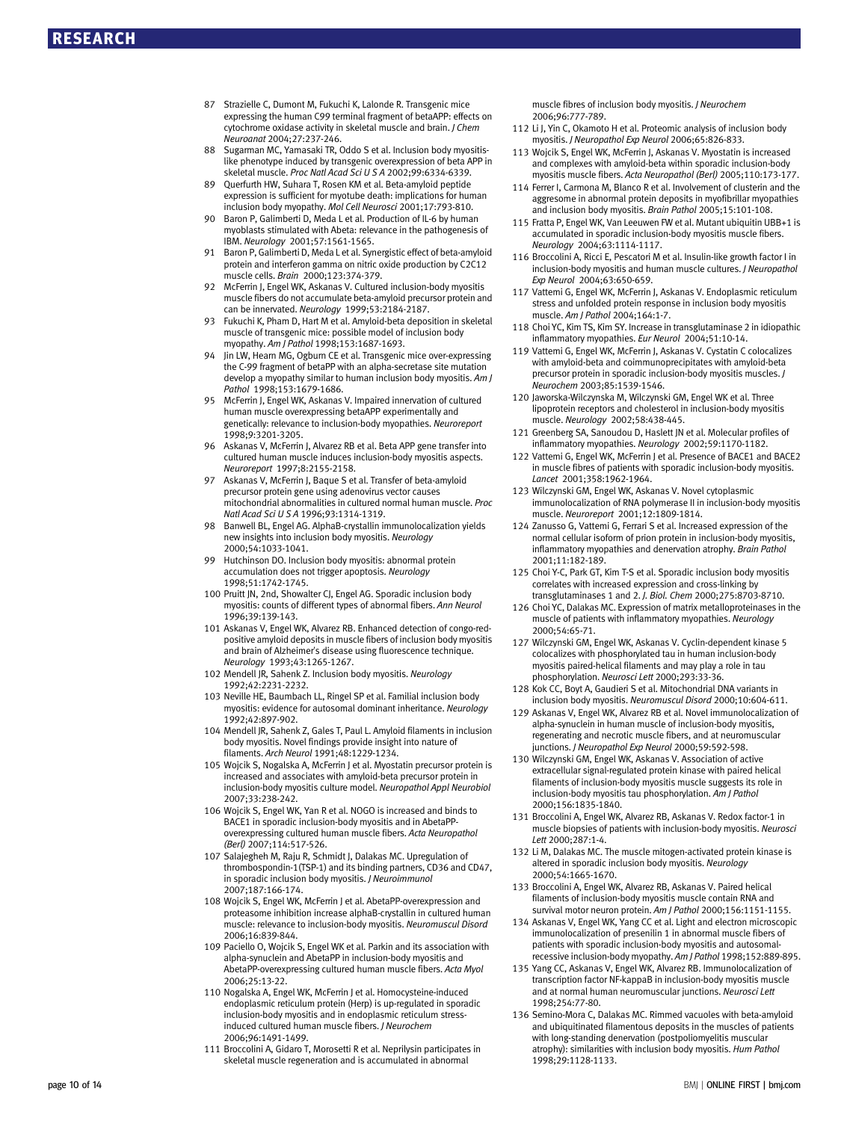- 87 Strazielle C, Dumont M, Fukuchi K, Lalonde R. Transgenic mice expressing the human C99 terminal fragment of betaAPP: effects on cytochrome oxidase activity in skeletal muscle and brain. J Chem Neuroanat 2004;27:237-246.
- 88 Sugarman MC, Yamasaki TR, Oddo S et al. Inclusion body myositislike phenotype induced by transgenic overexpression of beta APP in skeletal muscle. Proc Natl Acad Sci U S A 2002;99:6334-6339.
- 89 Querfurth HW, Suhara T, Rosen KM et al. Beta-amyloid peptide expression is sufficient for myotube death: implications for human inclusion body myopathy. Mol Cell Neurosci 2001;17:793-810.
- 90 Baron P, Galimberti D, Meda L et al. Production of IL-6 by human myoblasts stimulated with Abeta: relevance in the pathogenesis of IBM. Neurology 2001;57:1561-1565.
- 91 Baron P, Galimberti D, Meda L et al. Synergistic effect of beta-amyloid protein and interferon gamma on nitric oxide production by C2C12 muscle cells. Brain 2000;123:374-379.
- 92 McFerrin J, Engel WK, Askanas V. Cultured inclusion-body myositis muscle fibers do not accumulate beta-amyloid precursor protein and can be innervated. Neurology 1999;53:2184-2187.
- 93 Fukuchi K, Pham D, Hart M et al. Amyloid-beta deposition in skeletal muscle of transgenic mice: possible model of inclusion body myopathy. Am J Pathol 1998;153:1687-1693.
- 94 Jin LW, Hearn MG, Ogburn CE et al. Transgenic mice over-expressing the C-99 fragment of betaPP with an alpha-secretase site mutation develop a myopathy similar to human inclusion body myositis. Am J Pathol 1998;153:1679-1686.
- 95 McFerrin J, Engel WK, Askanas V. Impaired innervation of cultured human muscle overexpressing betaAPP experimentally and genetically: relevance to inclusion-body myopathies. Neuroreport 1998;9:3201-3205.
- 96 Askanas V, McFerrin J, Alvarez RB et al. Beta APP gene transfer into cultured human muscle induces inclusion-body myositis aspects. Neuroreport 1997;8:2155-2158.
- 97 Askanas V, McFerrin J, Baque S et al. Transfer of beta-amyloid precursor protein gene using adenovirus vector causes mitochondrial abnormalities in cultured normal human muscle. Proc Natl Acad Sci U S A 1996;93:1314-1319.
- 98 Banwell BL, Engel AG. AlphaB-crystallin immunolocalization yields new insights into inclusion body myositis. Neurology 2000;54:1033-1041.
- 99 Hutchinson DO. Inclusion body myositis: abnormal protein accumulation does not trigger apoptosis. Neurology 1998;51:1742-1745.
- 100 Pruitt JN, 2nd, Showalter CJ, Engel AG. Sporadic inclusion body myositis: counts of different types of abnormal fibers. Ann Neurol 1996;39:139-143.
- 101 Askanas V, Engel WK, Alvarez RB. Enhanced detection of congo-redpositive amyloid deposits in muscle fibers of inclusion body myositis and brain of Alzheimer's disease using fluorescence technique. Neurology 1993;43:1265-1267.
- 102 Mendell JR, Sahenk Z. Inclusion body myositis. Neurology 1992;42:2231-2232.
- 103 Neville HE, Baumbach LL, Ringel SP et al. Familial inclusion body myositis: evidence for autosomal dominant inheritance. Neurology 1992;42:897-902.
- 104 Mendell JR, Sahenk Z, Gales T, Paul L. Amyloid filaments in inclusion body myositis. Novel findings provide insight into nature of filaments. Arch Neurol 1991;48:1229-1234.
- 105 Wojcik S, Nogalska A, McFerrin J et al. Myostatin precursor protein is increased and associates with amyloid-beta precursor protein in inclusion-body myositis culture model. Neuropathol Appl Neurobiol 2007;33:238-242.
- 106 Wojcik S, Engel WK, Yan R et al. NOGO is increased and binds to BACE1 in sporadic inclusion-body myositis and in AbetaPPoverexpressing cultured human muscle fibers. Acta Neuropathol (Berl) 2007;114:517-526.
- 107 Salajegheh M, Raju R, Schmidt J, Dalakas MC. Upregulation of thrombospondin-1(TSP-1) and its binding partners, CD36 and CD47, in sporadic inclusion body myositis. *I Neuroimmunol* 2007;187:166-174.
- 108 Wojcik S, Engel WK, McFerrin J et al. AbetaPP-overexpression and proteasome inhibition increase alphaB-crystallin in cultured human muscle: relevance to inclusion-body myositis. Neuromuscul Disord 2006;16:839-844.
- 109 Paciello O, Wojcik S, Engel WK et al. Parkin and its association with alpha-synuclein and AbetaPP in inclusion-body myositis and AbetaPP-overexpressing cultured human muscle fibers. Acta Myol 2006;25:13-22.
- 110 Nogalska A, Engel WK, McFerrin J et al. Homocysteine-induced endoplasmic reticulum protein (Herp) is up-regulated in sporadic inclusion-body myositis and in endoplasmic reticulum stressinduced cultured human muscle fibers. J Neurochem 2006;96:1491-1499.
- 111 Broccolini A, Gidaro T, Morosetti R et al. Neprilysin participates in skeletal muscle regeneration and is accumulated in abnormal

muscle fibres of inclusion body myositis. J Neurochem 2006;96:777-789.

- 112 Li J, Yin C, Okamoto H et al. Proteomic analysis of inclusion body myositis. J Neuropathol Exp Neurol 2006;65:826-833.
- 113 Wojcik S, Engel WK, McFerrin J, Askanas V. Myostatin is increased and complexes with amyloid-beta within sporadic inclusion-body myositis muscle fibers. Acta Neuropathol (Berl) 2005;110:173-177.
- 114 Ferrer I, Carmona M, Blanco R et al. Involvement of clusterin and the aggresome in abnormal protein deposits in myofibrillar myopathies and inclusion body myositis. Brain Pathol 2005;15:101-108.
- 115 Fratta P, Engel WK, Van Leeuwen FW et al. Mutant ubiquitin UBB+1 is accumulated in sporadic inclusion-body myositis muscle fibers. Neurology 2004;63:1114-1117.
- 116 Broccolini A, Ricci E, Pescatori M et al. Insulin-like growth factor I in inclusion-body myositis and human muscle cultures. J Neuropathol Exp Neurol 2004;63:650-659.
- 117 Vattemi G, Engel WK, McFerrin J, Askanas V. Endoplasmic reticulum stress and unfolded protein response in inclusion body myositis muscle. Am J Pathol 2004;164:1-7.
- 118 Choi YC, Kim TS, Kim SY. Increase in transglutaminase 2 in idiopathic inflammatory myopathies. Eur Neurol 2004;51:10-14.
- 119 Vattemi G, Engel WK, McFerrin J, Askanas V. Cystatin C colocalizes with amyloid-beta and coimmunoprecipitates with amyloid-beta precursor protein in sporadic inclusion-body myositis muscles. J Neurochem 2003;85:1539-1546.
- 120 Jaworska-Wilczynska M, Wilczynski GM, Engel WK et al. Three lipoprotein receptors and cholesterol in inclusion-body myositis muscle. Neurology 2002;58:438-445.
- 121 Greenberg SA, Sanoudou D, Haslett JN et al. Molecular profiles of inflammatory myopathies. Neurology 2002;59:1170-1182.
- 122 Vattemi G, Engel WK, McFerrin J et al. Presence of BACE1 and BACE2 in muscle fibres of patients with sporadic inclusion-body myositis. Lancet 2001;358:1962-1964.
- 123 Wilczynski GM, Engel WK, Askanas V. Novel cytoplasmic immunolocalization of RNA polymerase II in inclusion-body myositis muscle. Neuroreport 2001;12:1809-1814.
- 124 Zanusso G, Vattemi G, Ferrari S et al. Increased expression of the normal cellular isoform of prion protein in inclusion-body myositis, inflammatory myopathies and denervation atrophy. Brain Pathol 2001;11:182-189.
- 125 Choi Y-C, Park GT, Kim T-S et al. Sporadic inclusion body myositis correlates with increased expression and cross-linking by transglutaminases 1 and 2. J. Biol. Chem 2000;275:8703-8710.
- 126 Choi YC, Dalakas MC. Expression of matrix metalloproteinases in the muscle of patients with inflammatory myopathies. Neurology 2000;54:65-71.
- 127 Wilczynski GM, Engel WK, Askanas V. Cyclin-dependent kinase 5 colocalizes with phosphorylated tau in human inclusion-body myositis paired-helical filaments and may play a role in tau phosphorylation. Neurosci Lett 2000;293:33-36.
- 128 Kok CC, Boyt A, Gaudieri S et al. Mitochondrial DNA variants in inclusion body myositis. Neuromuscul Disord 2000;10:604-611.
- 129 Askanas V, Engel WK, Alvarez RB et al. Novel immunolocalization of alpha-synuclein in human muscle of inclusion-body myositis, regenerating and necrotic muscle fibers, and at neuromuscular junctions. J Neuropathol Exp Neurol 2000;59:592-598.
- 130 Wilczynski GM, Engel WK, Askanas V. Association of active extracellular signal-regulated protein kinase with paired helical filaments of inclusion-body myositis muscle suggests its role in inclusion-body myositis tau phosphorylation. Am J Pathol 2000;156:1835-1840.
- 131 Broccolini A, Engel WK, Alvarez RB, Askanas V. Redox factor-1 in muscle biopsies of patients with inclusion-body myositis. Neurosci Lett 2000;287:1-4.
- 132 Li M, Dalakas MC. The muscle mitogen-activated protein kinase is altered in sporadic inclusion body myositis. Neurology 2000;54:1665-1670.
- 133 Broccolini A, Engel WK, Alvarez RB, Askanas V. Paired helical filaments of inclusion-body myositis muscle contain RNA and survival motor neuron protein. Am J Pathol 2000;156:1151-1155.
- 134 Askanas V, Engel WK, Yang CC et al. Light and electron microscopic immunolocalization of presenilin 1 in abnormal muscle fibers of patients with sporadic inclusion-body myositis and autosomalrecessive inclusion-body myopathy. Am J Pathol 1998;152:889-895.
- 135 Yang CC, Askanas V, Engel WK, Alvarez RB. Immunolocalization of transcription factor NF-kappaB in inclusion-body myositis muscle and at normal human neuromuscular junctions. Neurosci Lett 1998;254:77-80.
- 136 Semino-Mora C, Dalakas MC. Rimmed vacuoles with beta-amyloid and ubiquitinated filamentous deposits in the muscles of patients with long-standing denervation (postpoliomyelitis muscular atrophy): similarities with inclusion body myositis. Hum Pathol 1998;29:1128-1133.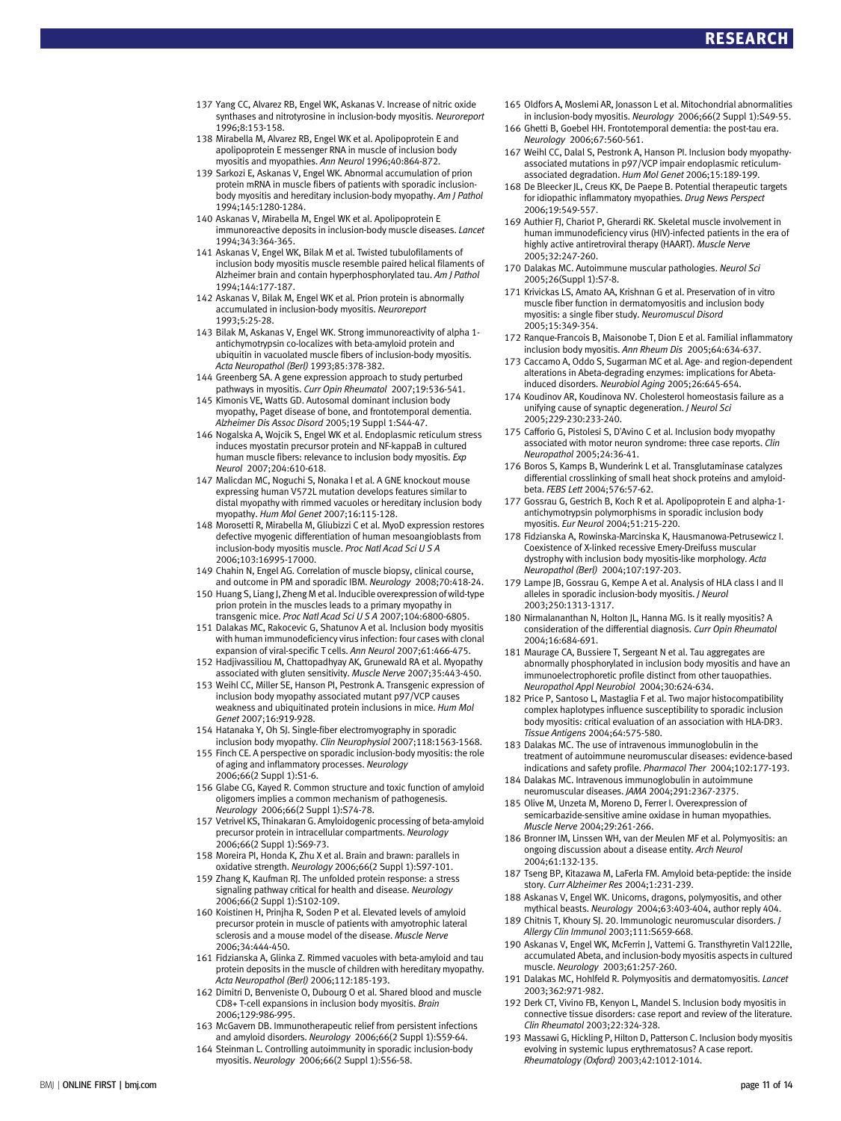- 137 Yang CC, Alvarez RB, Engel WK, Askanas V. Increase of nitric oxide synthases and nitrotyrosine in inclusion-body myositis. Neuroreport 1996;8:153-158.
- 138 Mirabella M, Alvarez RB, Engel WK et al. Apolipoprotein E and apolipoprotein E messenger RNA in muscle of inclusion body myositis and myopathies. Ann Neurol 1996;40:864-872.
- 139 Sarkozi E, Askanas V, Engel WK. Abnormal accumulation of prion protein mRNA in muscle fibers of patients with sporadic inclusionbody myositis and hereditary inclusion-body myopathy. Am J Pathol 1994;145:1280-1284.
- 140 Askanas V, Mirabella M, Engel WK et al. Apolipoprotein E immunoreactive deposits in inclusion-body muscle diseases. *Lancet* 1994;343:364-365.
- 141 Askanas V, Engel WK, Bilak M et al. Twisted tubulofilaments of inclusion body myositis muscle resemble paired helical filaments of Alzheimer brain and contain hyperphosphorylated tau. Am J Pathol 1994;144:177-187.
- 142 Askanas V, Bilak M, Engel WK et al. Prion protein is abnormally accumulated in inclusion-body myositis. Neuroreport 1993;5:25-28.
- 143 Bilak M, Askanas V, Engel WK. Strong immunoreactivity of alpha 1 antichymotrypsin co-localizes with beta-amyloid protein and ubiquitin in vacuolated muscle fibers of inclusion-body myositis. Acta Neuropathol (Berl) 1993;85:378-382.
- 144 Greenberg SA. A gene expression approach to study perturbed pathways in myositis. Curr Opin Rheumatol 2007;19:536-541.
- 145 Kimonis VE, Watts GD. Autosomal dominant inclusion body myopathy, Paget disease of bone, and frontotemporal dementia. Alzheimer Dis Assoc Disord 2005;19 Suppl 1:S44-47.
- 146 Nogalska A, Wojcik S, Engel WK et al. Endoplasmic reticulum stress induces myostatin precursor protein and NF-kappaB in cultured human muscle fibers: relevance to inclusion body myositis. Exp Neurol 2007;204:610-618.
- 147 Malicdan MC, Noguchi S, Nonaka I et al. A GNE knockout mouse expressing human V572L mutation develops features similar to distal myopathy with rimmed vacuoles or hereditary inclusion body myopathy. Hum Mol Genet 2007;16:115-128.
- 148 Morosetti R, Mirabella M, Gliubizzi C et al. MyoD expression restores defective myogenic differentiation of human mesoangioblasts from inclusion-body myositis muscle. Proc Natl Acad Sci U S A 2006;103:16995-17000.
- 149 Chahin N, Engel AG. Correlation of muscle biopsy, clinical course, and outcome in PM and sporadic IBM. Neurology 2008;70:418-24.
- 150 Huang S, Liang J, Zheng M et al. Inducible overexpression of wild-type prion protein in the muscles leads to a primary myopathy in transgenic mice. Proc Natl Acad Sci U S A 2007;104:6800-6805.
- 151 Dalakas MC, Rakocevic G, Shatunov A et al. Inclusion body myositis with human immunodeficiency virus infection: four cases with clonal expansion of viral-specific T cells. Ann Neurol 2007;61:466-475.
- 152 Hadjivassiliou M, Chattopadhyay AK, Grunewald RA et al. Myopathy associated with gluten sensitivity. Muscle Nerve 2007;35:443-450.
- 153 Weihl CC, Miller SE, Hanson PI, Pestronk A. Transgenic expression of inclusion body myopathy associated mutant p97/VCP causes weakness and ubiquitinated protein inclusions in mice. Hum Mol Genet 2007;16:919-928.
- 154 Hatanaka Y, Oh SJ. Single-fiber electromyography in sporadic inclusion body myopathy. Clin Neurophysiol 2007;118:1563-1568.
- 155 Finch CE. A perspective on sporadic inclusion-body myositis: the role of aging and inflammatory processes. Neurology 2006;66(2 Suppl 1):S1-6.
- 156 Glabe CG, Kayed R. Common structure and toxic function of amyloid oligomers implies a common mechanism of pathogenesis. Neurology 2006;66(2 Suppl 1):S74-78.
- 157 Vetrivel KS, Thinakaran G. Amyloidogenic processing of beta-amyloid precursor protein in intracellular compartments. Neurology 2006;66(2 Suppl 1):S69-73.
- 158 Moreira PI, Honda K, Zhu X et al. Brain and brawn: parallels in oxidative strength. Neurology 2006;66(2 Suppl 1):S97-101.
- 159 Zhang K, Kaufman RJ. The unfolded protein response: a stress signaling pathway critical for health and disease. Neurology 2006;66(2 Suppl 1):S102-109.
- 160 Koistinen H, Prinjha R, Soden P et al. Elevated levels of amyloid precursor protein in muscle of patients with amyotrophic lateral sclerosis and a mouse model of the disease. Muscle Nerve 2006;34:444-450.
- 161 Fidzianska A, Glinka Z. Rimmed vacuoles with beta-amyloid and tau protein deposits in the muscle of children with hereditary myopathy. Acta Neuropathol (Berl) 2006;112:185-193.
- 162 Dimitri D, Benveniste O, Dubourg O et al. Shared blood and muscle CD8+ T-cell expansions in inclusion body myositis. Brain 2006;129:986-995.
- 163 McGavern DB. Immunotherapeutic relief from persistent infections and amyloid disorders. Neurology 2006;66(2 Suppl 1):S59-64.
- 164 Steinman L. Controlling autoimmunity in sporadic inclusion-body myositis. Neurology 2006;66(2 Suppl 1):S56-58.
- 165 Oldfors A, Moslemi AR, Jonasson L et al. Mitochondrial abnormalities in inclusion-body myositis. Neurology 2006;66(2 Suppl 1):S49-55.
- 166 Ghetti B, Goebel HH. Frontotemporal dementia: the post-tau era. Neurology 2006;67:560-561.
- 167 Weihl CC, Dalal S, Pestronk A, Hanson PI. Inclusion body myopathyassociated mutations in p97/VCP impair endoplasmic reticulumassociated degradation. Hum Mol Genet 2006;15:189-199.
- 168 De Bleecker JL, Creus KK, De Paepe B. Potential therapeutic targets for idiopathic inflammatory myopathies. Drug News Perspect 2006;19:549-557.
- 169 Authier FJ, Chariot P, Gherardi RK. Skeletal muscle involvement in human immunodeficiency virus (HIV)-infected patients in the era of highly active antiretroviral therapy (HAART). Muscle Nerve 2005;32:247-260.
- 170 Dalakas MC. Autoimmune muscular pathologies. Neurol Sci 2005;26(Suppl 1):S7-8.
- 171 Krivickas LS, Amato AA, Krishnan G et al. Preservation of in vitro muscle fiber function in dermatomyositis and inclusion body myositis: a single fiber study. Neuromuscul Disord 2005;15:349-354.
- 172 Ranque-Francois B, Maisonobe T, Dion E et al. Familial inflammatory inclusion body myositis. Ann Rheum Dis 2005;64:634-637.
- 173 Caccamo A, Oddo S, Sugarman MC et al. Age- and region-dependent alterations in Abeta-degrading enzymes: implications for Abetainduced disorders. Neurobiol Aging 2005;26:645-654.
- 174 Koudinov AR, Koudinova NV. Cholesterol homeostasis failure as a unifying cause of synaptic degeneration. J Neurol Sci 2005;229-230:233-240.
- 175 Cafforio G, Pistolesi S, D'Avino C et al. Inclusion body myopathy associated with motor neuron syndrome: three case reports. Clin Neuropathol 2005;24:36-41.
- 176 Boros S, Kamps B, Wunderink L et al. Transglutaminase catalyzes differential crosslinking of small heat shock proteins and amyloidbeta. FEBS Lett 2004;576:57-62.
- 177 Gossrau G, Gestrich B, Koch R et al. Apolipoprotein E and alpha-1 antichymotrypsin polymorphisms in sporadic inclusion body myositis. Eur Neurol 2004;51:215-220.
- 178 Fidzianska A, Rowinska-Marcinska K, Hausmanowa-Petrusewicz I. Coexistence of X-linked recessive Emery-Dreifuss muscular dystrophy with inclusion body myositis-like morphology. Acta Neuropathol (Berl) 2004;107:197-203.
- 179 Lampe JB, Gossrau G, Kempe A et al. Analysis of HLA class I and II alleles in sporadic inclusion-body myositis. J Neurol 2003;250:1313-1317.
- 180 Nirmalananthan N, Holton JL, Hanna MG. Is it really myositis? A consideration of the differential diagnosis. Curr Opin Rheumatol 2004;16:684-691.
- 181 Maurage CA, Bussiere T, Sergeant N et al. Tau aggregates are abnormally phosphorylated in inclusion body myositis and have an immunoelectrophoretic profile distinct from other tauopathies. Neuropathol Appl Neurobiol 2004;30:624-634.
- 182 Price P, Santoso L, Mastaglia F et al. Two major histocompatibility complex haplotypes influence susceptibility to sporadic inclusion body myositis: critical evaluation of an association with HLA-DR3. Tissue Antigens 2004;64:575-580.
- 183 Dalakas MC. The use of intravenous immunoglobulin in the treatment of autoimmune neuromuscular diseases: evidence-based indications and safety profile. Pharmacol Ther 2004;102:177-193.
- 184 Dalakas MC. Intravenous immunoglobulin in autoimmune neuromuscular diseases. JAMA 2004;291:2367-2375.
- 185 Olive M, Unzeta M, Moreno D, Ferrer I. Overexpression of semicarbazide-sensitive amine oxidase in human myopathies. Muscle Nerve 2004;29:261-266.
- 186 Bronner IM, Linssen WH, van der Meulen MF et al. Polymyositis: an ongoing discussion about a disease entity. Arch Neurol 2004;61:132-135.
- 187 Tseng BP, Kitazawa M, LaFerla FM. Amyloid beta-peptide: the inside story. Curr Alzheimer Res 2004;1:231-239.
- 188 Askanas V, Engel WK. Unicorns, dragons, polymyositis, and other mythical beasts. Neurology 2004;63:403-404, author reply 404.
- 189 Chitnis T, Khoury SJ. 20. Immunologic neuromuscular disorders. J Allergy Clin Immunol 2003;111:S659-668.
- 190 Askanas V, Engel WK, McFerrin J, Vattemi G. Transthyretin Val122Ile, accumulated Abeta, and inclusion-body myositis aspects in cultured muscle. Neurology 2003;61:257-260.
- 191 Dalakas MC, Hohlfeld R. Polymyositis and dermatomyositis. Lancet 2003;362:971-982.
- 192 Derk CT, Vivino FB, Kenyon L, Mandel S. Inclusion body myositis in connective tissue disorders: case report and review of the literature. Clin Rheumatol 2003;22:324-328.
- 193 Massawi G, Hickling P, Hilton D, Patterson C. Inclusion body myositis evolving in systemic lupus erythrematosus? A case report. Rheumatology (Oxford) 2003;42:1012-1014.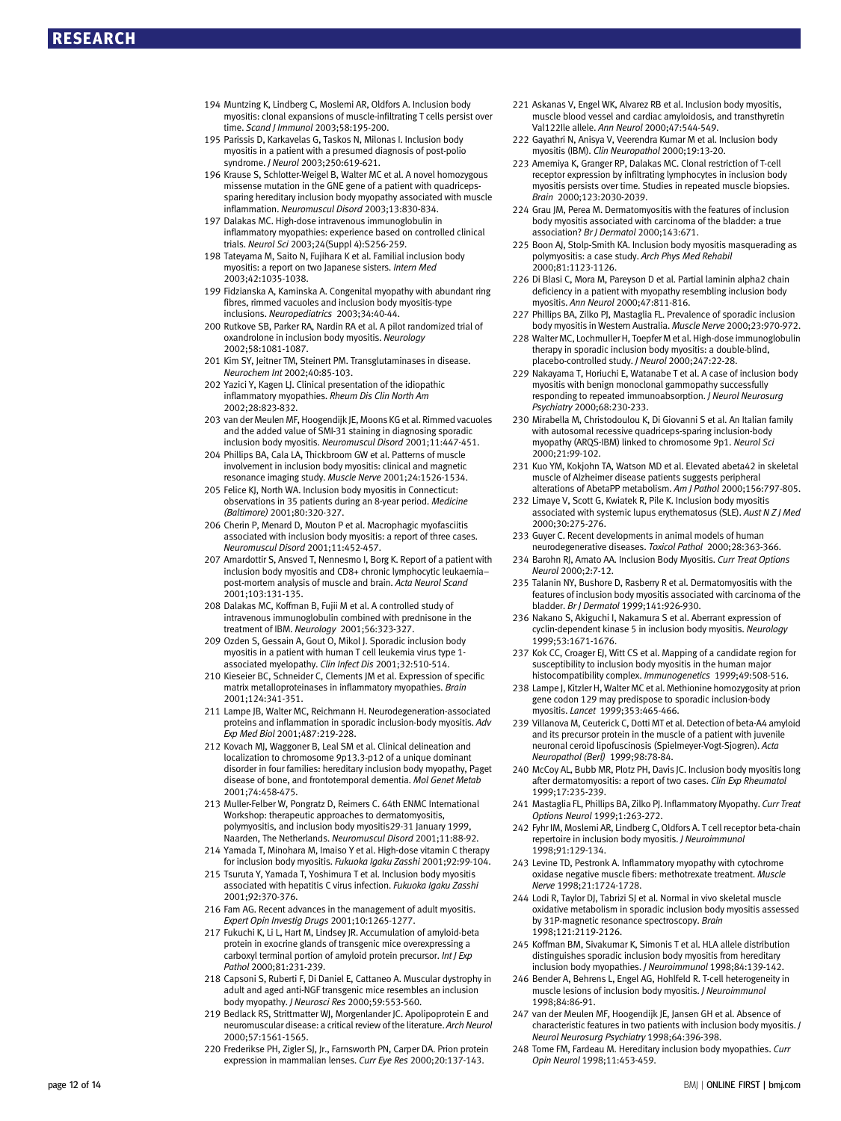- 194 Muntzing K, Lindberg C, Moslemi AR, Oldfors A. Inclusion body myositis: clonal expansions of muscle-infiltrating T cells persist over time. Scand J Immunol 2003;58:195-200.
- 195 Parissis D, Karkavelas G, Taskos N, Milonas I. Inclusion body myositis in a patient with a presumed diagnosis of post-polio syndrome. J Neurol 2003;250:619-621.
- 196 Krause S, Schlotter-Weigel B, Walter MC et al. A novel homozygous missense mutation in the GNE gene of a patient with quadricepssparing hereditary inclusion body myopathy associated with muscle inflammation. Neuromuscul Disord 2003;13:830-834.
- 197 Dalakas MC. High-dose intravenous immunoglobulin in inflammatory myopathies: experience based on controlled clinical trials. Neurol Sci 2003;24(Suppl 4):S256-259.
- 198 Tateyama M, Saito N, Fujihara K et al. Familial inclusion body myositis: a report on two Japanese sisters. Intern Med 2003;42:1035-1038.
- 199 Fidzianska A, Kaminska A. Congenital myopathy with abundant ring fibres, rimmed vacuoles and inclusion body myositis-type inclusions. Neuropediatrics 2003;34:40-44.
- 200 Rutkove SB, Parker RA, Nardin RA et al. A pilot randomized trial of oxandrolone in inclusion body myositis. Neurology 2002;58:1081-1087.
- 201 Kim SY, Jeitner TM, Steinert PM. Transglutaminases in disease. Neurochem Int 2002;40:85-103.
- 202 Yazici Y, Kagen LJ. Clinical presentation of the idiopathic inflammatory myopathies. Rheum Dis Clin North Am 2002;28:823-832.
- 203 van der Meulen MF, Hoogendijk JE, Moons KG et al. Rimmed vacuoles and the added value of SMI-31 staining in diagnosing sporadic inclusion body myositis. Neuromuscul Disord 2001;11:447-451.
- 204 Phillips BA, Cala LA, Thickbroom GW et al. Patterns of muscle involvement in inclusion body myositis: clinical and magnetic resonance imaging study. Muscle Nerve 2001;24:1526-1534.
- 205 Felice KJ, North WA. Inclusion body myositis in Connecticut: observations in 35 patients during an 8-year period. Medicine (Baltimore) 2001;80:320-327.
- 206 Cherin P, Menard D, Mouton P et al. Macrophagic myofasciitis associated with inclusion body myositis: a report of three cases. Neuromuscul Disord 2001;11:452-457.
- 207 Arnardottir S, Ansved T, Nennesmo I, Borg K. Report of a patient with inclusion body myositis and CD8+ chronic lymphocytic leukaemia– post-mortem analysis of muscle and brain. Acta Neurol Scand 2001;103:131-135.
- 208 Dalakas MC, Koffman B, Fujii M et al. A controlled study of intravenous immunoglobulin combined with prednisone in the treatment of IBM. Neurology 2001;56:323-327.
- 209 Ozden S, Gessain A, Gout O, Mikol J. Sporadic inclusion body myositis in a patient with human T cell leukemia virus type 1 associated myelopathy. Clin Infect Dis 2001;32:510-514.
- 210 Kieseier BC, Schneider C, Clements JM et al. Expression of specific matrix metalloproteinases in inflammatory myopathies. Brain 2001;124:341-351.
- 211 Lampe JB, Walter MC, Reichmann H. Neurodegeneration-associated proteins and inflammation in sporadic inclusion-body myositis. Adv Exp Med Biol 2001;487:219-228.
- 212 Kovach MJ, Waggoner B, Leal SM et al. Clinical delineation and localization to chromosome 9p13.3-p12 of a unique dominant disorder in four families: hereditary inclusion body myopathy, Paget disease of bone, and frontotemporal dementia. Mol Genet Metab 2001;74:458-475.
- 213 Muller-Felber W, Pongratz D, Reimers C. 64th ENMC International Workshop: therapeutic approaches to dermatomyositis, polymyositis, and inclusion body myositis29-31 January 1999, Naarden, The Netherlands. Neuromuscul Disord 2001;11:88-92.
- 214 Yamada T, Minohara M, Imaiso Y et al. High-dose vitamin C therapy for inclusion body myositis. Fukuoka Igaku Zasshi 2001;92:99-104.
- 215 Tsuruta Y, Yamada T, Yoshimura T et al. Inclusion body myositis associated with hepatitis C virus infection. Fukuoka Igaku Zasshi 2001;92:370-376.
- 216 Fam AG. Recent advances in the management of adult myositis. Expert Opin Investig Drugs 2001;10:1265-1277.
- 217 Fukuchi K, Li L, Hart M, Lindsey JR. Accumulation of amyloid-beta protein in exocrine glands of transgenic mice overexpressing a carboxyl terminal portion of amyloid protein precursor. Int J Exp Pathol 2000;81:231-239.
- 218 Capsoni S, Ruberti F, Di Daniel E, Cattaneo A. Muscular dystrophy in adult and aged anti-NGF transgenic mice resembles an inclusion body myopathy. J Neurosci Res 2000;59:553-560.
- 219 Bedlack RS, Strittmatter WJ, Morgenlander IC, Apolipoprotein E and neuromuscular disease: a critical review of the literature. Arch Neurol 2000;57:1561-1565.
- 220 Frederikse PH, Zigler SJ, Jr., Farnsworth PN, Carper DA. Prion protein expression in mammalian lenses. Curr Eye Res 2000;20:137-143.
- 221 Askanas V, Engel WK, Alvarez RB et al. Inclusion body myositis, muscle blood vessel and cardiac amyloidosis, and transthyretin Val122Ile allele. Ann Neurol 2000;47:544-549.
- 222 Gayathri N, Anisya V, Veerendra Kumar M et al. Inclusion body myositis (IBM). Clin Neuropathol 2000;19:13-20.
- 223 Amemiya K, Granger RP, Dalakas MC. Clonal restriction of T-cell receptor expression by infiltrating lymphocytes in inclusion body myositis persists over time. Studies in repeated muscle biopsies. Brain 2000;123:2030-2039.
- 224 Grau IM, Perea M. Dermatomyositis with the features of inclusion body myositis associated with carcinoma of the bladder: a true association? Br J Dermatol 2000;143:671.
- 225 Boon AJ, Stolp-Smith KA. Inclusion body myositis masquerading as polymyositis: a case study. Arch Phys Med Rehabil 2000;81:1123-1126.
- 226 Di Blasi C, Mora M, Pareyson D et al. Partial laminin alpha2 chain deficiency in a patient with myopathy resembling inclusion body myositis. Ann Neurol 2000;47:811-816.
- 227 Phillips BA, Zilko PJ, Mastaglia FL. Prevalence of sporadic inclusion body myositis in Western Australia. Muscle Nerve 2000;23:970-972.
- 228 Walter MC, Lochmuller H, Toepfer M et al. High-dose immunoglobulin therapy in sporadic inclusion body myositis: a double-blind, placebo-controlled study. J Neurol 2000;247:22-28.
- 229 Nakayama T, Horiuchi E, Watanabe T et al. A case of inclusion body myositis with benign monoclonal gammopathy successfully responding to repeated immunoabsorption. J Neurol Neurosurg Psychiatry 2000;68:230-233.
- 230 Mirabella M, Christodoulou K, Di Giovanni S et al. An Italian family with autosomal recessive quadriceps-sparing inclusion-body myopathy (ARQS-IBM) linked to chromosome 9p1. Neurol Sci 2000;21:99-102.
- 231 Kuo YM, Kokjohn TA, Watson MD et al. Elevated abeta42 in skeletal muscle of Alzheimer disease patients suggests peripheral alterations of AbetaPP metabolism. Am J Pathol 2000;156:797-805.
- 232 Limaye V, Scott G, Kwiatek R, Pile K. Inclusion body myositis associated with systemic lupus erythematosus (SLE). Aust N Z J Med 2000;30:275-276.
- 233 Guyer C. Recent developments in animal models of human neurodegenerative diseases. Toxicol Pathol 2000;28:363-366.
- 234 Barohn RJ, Amato AA. Inclusion Body Myositis. Curr Treat Options Neurol 2000;2:7-12.
- 235 Talanin NY, Bushore D, Rasberry R et al. Dermatomyositis with the features of inclusion body myositis associated with carcinoma of the bladder. Br J Dermatol 1999;141:926-930.
- 236 Nakano S, Akiguchi I, Nakamura S et al. Aberrant expression of cyclin-dependent kinase 5 in inclusion body myositis. Neurology 1999;53:1671-1676.
- 237 Kok CC, Croager EJ, Witt CS et al. Mapping of a candidate region for susceptibility to inclusion body myositis in the human major histocompatibility complex. Immunogenetics 1999;49:508-516.
- 238 Lampe J, Kitzler H, Walter MC et al. Methionine homozygosity at prion gene codon 129 may predispose to sporadic inclusion-body myositis. Lancet 1999;353:465-466.
- 239 Villanova M, Ceuterick C, Dotti MT et al. Detection of beta-A4 amyloid and its precursor protein in the muscle of a patient with juvenile neuronal ceroid lipofuscinosis (Spielmeyer-Vogt-Sjogren). Acta Neuropathol (Berl) 1999;98:78-84.
- 240 McCoy AL, Bubb MR, Plotz PH, Davis JC. Inclusion body myositis long after dermatomyositis: a report of two cases. Clin Exp Rheumatol 1999;17:235-239.
- 241 Mastaglia FL, Phillips BA, Zilko PJ. Inflammatory Myopathy. Curr Treat Options Neurol 1999;1:263-272.
- 242 Fyhr IM, Moslemi AR, Lindberg C, Oldfors A. T cell receptor beta-chain repertoire in inclusion body myositis. J Neuroimmunol 1998;91:129-134.
- 243 Levine TD, Pestronk A. Inflammatory myopathy with cytochrome oxidase negative muscle fibers: methotrexate treatment. Muscle Nerve 1998;21:1724-1728.
- 244 Lodi R, Taylor DJ, Tabrizi SJ et al. Normal in vivo skeletal muscle oxidative metabolism in sporadic inclusion body myositis assessed by 31P-magnetic resonance spectroscopy. Brain 1998;121:2119-2126.
- 245 Koffman BM, Sivakumar K, Simonis T et al. HLA allele distribution distinguishes sporadic inclusion body myositis from hereditary inclusion body myopathies. J Neuroimmunol 1998;84:139-142.
- 246 Bender A, Behrens L, Engel AG, Hohlfeld R. T-cell heterogeneity in muscle lesions of inclusion body myositis. J Neuroimmunol 1998;84:86-91.
- 247 van der Meulen MF, Hoogendijk JE, Jansen GH et al. Absence of characteristic features in two patients with inclusion body myositis. J Neurol Neurosurg Psychiatry 1998;64:396-398.
- 248 Tome FM, Fardeau M. Hereditary inclusion body myopathies. Curr Opin Neurol 1998;11:453-459.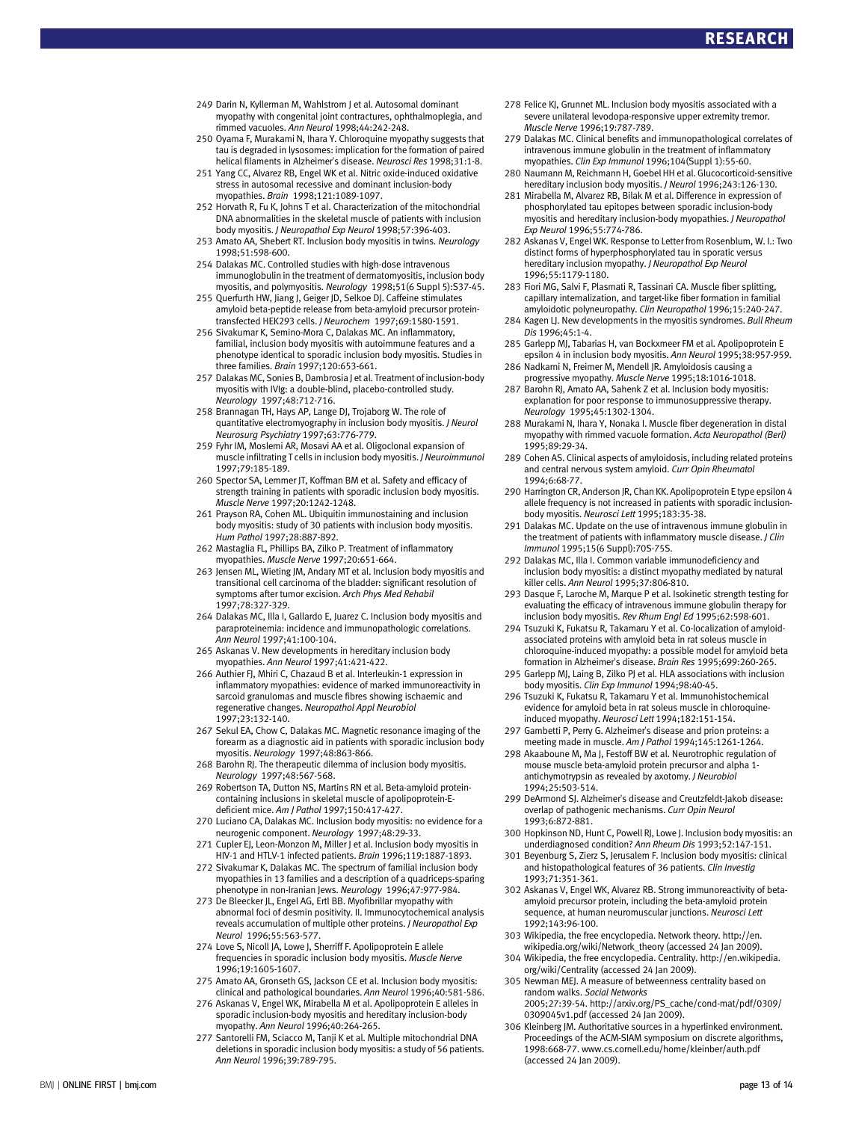- 249 Darin N, Kyllerman M, Wahlstrom J et al. Autosomal dominant myopathy with congenital joint contractures, ophthalmoplegia, and rimmed vacuoles. Ann Neurol 1998;44:242-248.
- 250 Oyama F, Murakami N, Ihara Y. Chloroquine myopathy suggests that tau is degraded in lysosomes: implication for the formation of paired helical filaments in Alzheimer's disease. Neurosci Res 1998;31:1-8.
- 251 Yang CC, Alvarez RB, Engel WK et al. Nitric oxide-induced oxidative stress in autosomal recessive and dominant inclusion-body myopathies. Brain 1998;121:1089-1097.
- 252 Horvath R, Fu K, Johns T et al. Characterization of the mitochondrial DNA abnormalities in the skeletal muscle of patients with inclusion body myositis. J Neuropathol Exp Neurol 1998;57:396-403.
- 253 Amato AA, Shebert RT. Inclusion body myositis in twins. Neurology 1998;51:598-600.
- 254 Dalakas MC. Controlled studies with high-dose intravenous immunoglobulin in the treatment of dermatomyositis, inclusion body myositis, and polymyositis. Neurology 1998;51(6 Suppl 5):S37-45.
- 255 Querfurth HW, Jiang J, Geiger JD, Selkoe DJ. Caffeine stimulates amyloid beta-peptide release from beta-amyloid precursor proteintransfected HEK293 cells. J Neurochem 1997;69:1580-1591.
- 256 Sivakumar K, Semino-Mora C, Dalakas MC. An inflammatory, familial, inclusion body myositis with autoimmune features and a phenotype identical to sporadic inclusion body myositis. Studies in three families. Brain 1997;120:653-661.
- 257 Dalakas MC, Sonies B, Dambrosia J et al. Treatment of inclusion-body myositis with IVIg: a double-blind, placebo-controlled study. Neurology 1997;48:712-716.
- 258 Brannagan TH, Hays AP, Lange DJ, Trojaborg W. The role of quantitative electromyography in inclusion body myositis. J Neurol Neurosurg Psychiatry 1997;63:776-779.
- 259 Fyhr IM, Moslemi AR, Mosavi AA et al. Oligoclonal expansion of muscle infiltrating T cells in inclusion body myositis. J Neuroimmunol 1997;79:185-189.
- 260 Spector SA, Lemmer JT, Koffman BM et al. Safety and efficacy of strength training in patients with sporadic inclusion body myositis. Muscle Nerve 1997;20:1242-1248.
- 261 Prayson RA, Cohen ML. Ubiquitin immunostaining and inclusion body myositis: study of 30 patients with inclusion body myositis. Hum Pathol 1997;28:887-892.
- 262 Mastaglia FL, Phillips BA, Zilko P. Treatment of inflammatory myopathies. Muscle Nerve 1997;20:651-664.
- 263 Jensen ML, Wieting JM, Andary MT et al. Inclusion body myositis and transitional cell carcinoma of the bladder: significant resolution of symptoms after tumor excision. Arch Phys Med Rehabil 1997;78:327-329.
- 264 Dalakas MC, Illa I, Gallardo E, Juarez C. Inclusion body myositis and paraproteinemia: incidence and immunopathologic correlations. Ann Neurol 1997;41:100-104.
- 265 Askanas V. New developments in hereditary inclusion body myopathies. Ann Neurol 1997;41:421-422.
- 266 Authier FJ, Mhiri C, Chazaud B et al. Interleukin-1 expression in inflammatory myopathies: evidence of marked immunoreactivity in sarcoid granulomas and muscle fibres showing ischaemic and regenerative changes. Neuropathol Appl Neurobiol 1997;23:132-140.
- 267 Sekul EA, Chow C, Dalakas MC. Magnetic resonance imaging of the forearm as a diagnostic aid in patients with sporadic inclusion body myositis. Neurology 1997;48:863-866.
- 268 Barohn RJ. The therapeutic dilemma of inclusion body myositis. Neurology 1997;48:567-568.
- 269 Robertson TA, Dutton NS, Martins RN et al. Beta-amyloid proteincontaining inclusions in skeletal muscle of apolipoprotein-Edeficient mice. Am J Pathol 1997;150:417-427.
- 270 Luciano CA, Dalakas MC. Inclusion body myositis: no evidence for a neurogenic component. Neurology 1997;48:29-33.
- 271 Cupler EJ, Leon-Monzon M, Miller J et al. Inclusion body myositis in HIV-1 and HTLV-1 infected patients. Brain 1996;119:1887-1893.
- 272 Sivakumar K, Dalakas MC. The spectrum of familial inclusion body myopathies in 13 families and a description of a quadriceps-sparing phenotype in non-Iranian Jews. Neurology 1996;47:977-984.
- 273 De Bleecker JL, Engel AG, Ertl BB. Myofibrillar myopathy with abnormal foci of desmin positivity. II. Immunocytochemical analysis reveals accumulation of multiple other proteins. J Neuropathol Exp Neurol 1996;55:563-577.
- 274 Love S, Nicoll JA, Lowe J, Sherriff F. Apolipoprotein E allele frequencies in sporadic inclusion body myositis. Muscle Nerve 1996;19:1605-1607.
- 275 Amato AA, Gronseth GS, Jackson CE et al. Inclusion body myositis: clinical and pathological boundaries. Ann Neurol 1996;40:581-586.
- 276 Askanas V, Engel WK, Mirabella M et al. Apolipoprotein E alleles in sporadic inclusion-body myositis and hereditary inclusion-body myopathy. Ann Neurol 1996;40:264-265.
- 277 Santorelli FM, Sciacco M, Tanji K et al. Multiple mitochondrial DNA deletions in sporadic inclusion body myositis: a study of 56 patients. Ann Neurol 1996;39:789-795.
- 278 Felice KJ, Grunnet ML. Inclusion body myositis associated with a severe unilateral levodopa-responsive upper extremity tremor. Muscle Nerve 1996;19:787-789.
- 279 Dalakas MC. Clinical benefits and immunopathological correlates of intravenous immune globulin in the treatment of inflammatory myopathies. Clin Exp Immunol 1996;104(Suppl 1):55-60.
- 280 Naumann M, Reichmann H, Goebel HH et al. Glucocorticoid-sensitive hereditary inclusion body myositis. J Neurol 1996;243:126-130.
- 281 Mirabella M, Alvarez RB, Bilak M et al. Difference in expression of phosphorylated tau epitopes between sporadic inclusion-body myositis and hereditary inclusion-body myopathies. J Neuropathol Exp Neurol 1996;55:774-786.
- 282 Askanas V, Engel WK. Response to Letter from Rosenblum, W. I.: Two distinct forms of hyperphosphorylated tau in sporatic versus hereditary inclusion myopathy. J Neuropathol Exp Neurol 1996;55:1179-1180.
- 283 Fiori MG, Salvi F, Plasmati R, Tassinari CA. Muscle fiber splitting, capillary internalization, and target-like fiber formation in familial amyloidotic polyneuropathy. Clin Neuropathol 1996;15:240-247.
- 284 Kagen LJ. New developments in the myositis syndromes. Bull Rheum Dis 1996;45:1-4.
- 285 Garlepp MJ, Tabarias H, van Bockxmeer FM et al. Apolipoprotein E epsilon 4 in inclusion body myositis. Ann Neurol 1995;38:957-959. 286 Nadkarni N, Freimer M, Mendell JR. Amyloidosis causing a
- progressive myopathy. Muscle Nerve 1995;18:1016-1018. 287 Barohn RJ, Amato AA, Sahenk Z et al. Inclusion body myositis:
- explanation for poor response to immunosuppressive therapy. Neurology 1995;45:1302-1304.
- 288 Murakami N, Ihara Y, Nonaka I. Muscle fiber degeneration in distal myopathy with rimmed vacuole formation. Acta Neuropathol (Berl) 1995;89:29-34.
- 289 Cohen AS. Clinical aspects of amyloidosis, including related proteins and central nervous system amyloid. Curr Opin Rheumatol 1994;6:68-77.
- 290 Harrington CR, Anderson JR, Chan KK. Apolipoprotein E type epsilon 4 allele frequency is not increased in patients with sporadic inclusionbody myositis. Neurosci Lett 1995;183:35-38.
- 291 Dalakas MC. Update on the use of intravenous immune globulin in the treatment of patients with inflammatory muscle disease. J Clin Immunol 1995;15(6 Suppl):70S-75S.
- 292 Dalakas MC, Illa I. Common variable immunodeficiency and inclusion body myositis: a distinct myopathy mediated by natural killer cells. Ann Neurol 1995;37:806-810.
- 293 Dasque F, Laroche M, Marque P et al. Isokinetic strength testing for evaluating the efficacy of intravenous immune globulin therapy for inclusion body myositis. Rev Rhum Engl Ed 1995;62:598-601.
- 294 Tsuzuki K, Fukatsu R, Takamaru Y et al. Co-localization of amyloidassociated proteins with amyloid beta in rat soleus muscle in chloroquine-induced myopathy: a possible model for amyloid beta formation in Alzheimer's disease. Brain Res 1995;699:260-265.
- 295 Garlepp MJ, Laing B, Zilko PJ et al. HLA associations with inclusion body myositis. Clin Exp Immunol 1994;98:40-45.
- 296 Tsuzuki K, Fukatsu R, Takamaru Y et al. Immunohistochemical evidence for amyloid beta in rat soleus muscle in chloroquineinduced myopathy. Neurosci Lett 1994;182:151-154.
- 297 Gambetti P, Perry G. Alzheimer's disease and prion proteins: a meeting made in muscle. Am J Pathol 1994;145:1261-1264.
- 298 Akaaboune M, Ma J, Festoff BW et al. Neurotrophic regulation of mouse muscle beta-amyloid protein precursor and alpha 1 antichymotrypsin as revealed by axotomy. J Neurobiol 1994;25:503-514.
- 299 DeArmond SJ. Alzheimer's disease and Creutzfeldt-Jakob disease: overlap of pathogenic mechanisms. Curr Opin Neurol 1993;6:872-881.
- 300 Hopkinson ND, Hunt C, Powell RJ, Lowe J. Inclusion body myositis: an underdiagnosed condition? Ann Rheum Dis 1993;52:147-151.
- 301 Beyenburg S, Zierz S, Jerusalem F. Inclusion body myositis: clinical and histopathological features of 36 patients. Clin Investig 1993;71:351-361.
- 302 Askanas V, Engel WK, Alvarez RB. Strong immunoreactivity of betaamyloid precursor protein, including the beta-amyloid protein sequence, at human neuromuscular junctions. Neurosci Lett 1992;143:96-100.
- 303 Wikipedia, the free encyclopedia. Network theory. http://en. wikipedia.org/wiki/Network\_theory (accessed 24 Jan 2009).
- 304 Wikipedia, the free encyclopedia. Centrality. http://en.wikipedia. org/wiki/Centrality (accessed 24 Jan 2009).
- 305 Newman MEJ. A measure of betweenness centrality based on random walks. Social Networks 2005;27:39-54. http://arxiv.org/PS\_cache/cond-mat/pdf/0309/
- 0309045v1.pdf (accessed 24 Jan 2009). 306 Kleinberg JM. Authoritative sources in a hyperlinked environment. Proceedings of the ACM-SIAM symposium on discrete algorithms, 1998:668-77. www.cs.cornell.edu/home/kleinber/auth.pdf (accessed 24 Jan 2009).